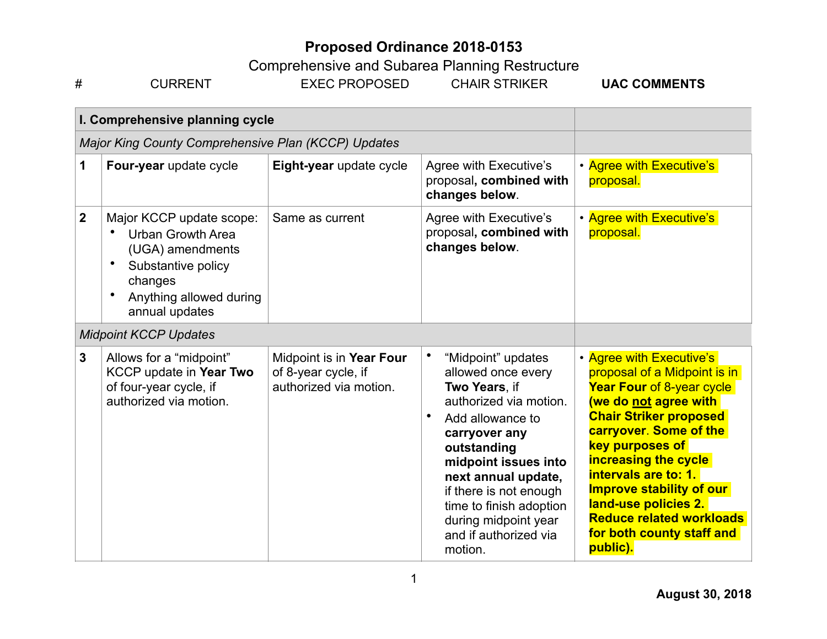| <b>UAC COMMENTS</b><br>EXEC PROPOSED<br>HAIR STRIKER<br>'N<br>CURRE<br>π |  |
|--------------------------------------------------------------------------|--|
|--------------------------------------------------------------------------|--|

|              | I. Comprehensive planning cycle                                                                                                                                     |                                                                           |                                                                                                                                                                                                                                                                                                         |                                                                                                                                                                                                                                                                                                                                                                                                   |
|--------------|---------------------------------------------------------------------------------------------------------------------------------------------------------------------|---------------------------------------------------------------------------|---------------------------------------------------------------------------------------------------------------------------------------------------------------------------------------------------------------------------------------------------------------------------------------------------------|---------------------------------------------------------------------------------------------------------------------------------------------------------------------------------------------------------------------------------------------------------------------------------------------------------------------------------------------------------------------------------------------------|
|              | Major King County Comprehensive Plan (KCCP) Updates                                                                                                                 |                                                                           |                                                                                                                                                                                                                                                                                                         |                                                                                                                                                                                                                                                                                                                                                                                                   |
| 1            | Four-year update cycle                                                                                                                                              | Eight-year update cycle                                                   | <b>Agree with Executive's</b><br>proposal, combined with<br>changes below.                                                                                                                                                                                                                              | • Agree with Executive's<br>proposal.                                                                                                                                                                                                                                                                                                                                                             |
| $\mathbf 2$  | Major KCCP update scope:<br><b>Urban Growth Area</b><br>(UGA) amendments<br>$\bullet$<br>Substantive policy<br>changes<br>Anything allowed during<br>annual updates | Same as current                                                           | <b>Agree with Executive's</b><br>proposal, combined with<br>changes below.                                                                                                                                                                                                                              | • Agree with Executive's<br>proposal.                                                                                                                                                                                                                                                                                                                                                             |
|              | <b>Midpoint KCCP Updates</b>                                                                                                                                        |                                                                           |                                                                                                                                                                                                                                                                                                         |                                                                                                                                                                                                                                                                                                                                                                                                   |
| $\mathbf{3}$ | Allows for a "midpoint"<br>KCCP update in Year Two<br>of four-year cycle, if<br>authorized via motion.                                                              | Midpoint is in Year Four<br>of 8-year cycle, if<br>authorized via motion. | "Midpoint" updates<br>allowed once every<br>Two Years, if<br>authorized via motion.<br>Add allowance to<br>carryover any<br>outstanding<br>midpoint issues into<br>next annual update,<br>if there is not enough<br>time to finish adoption<br>during midpoint year<br>and if authorized via<br>motion. | • Agree with Executive's<br>proposal of a Midpoint is in<br>Year Four of 8-year cycle<br>(we do not agree with<br><b>Chair Striker proposed</b><br>carryover. Some of the<br><b>key purposes of</b><br><b>increasing the cycle</b><br>intervals are to: 1.<br><b>Improve stability of our</b><br>land-use policies 2.<br><b>Reduce related workloads</b><br>for both county staff and<br>public). |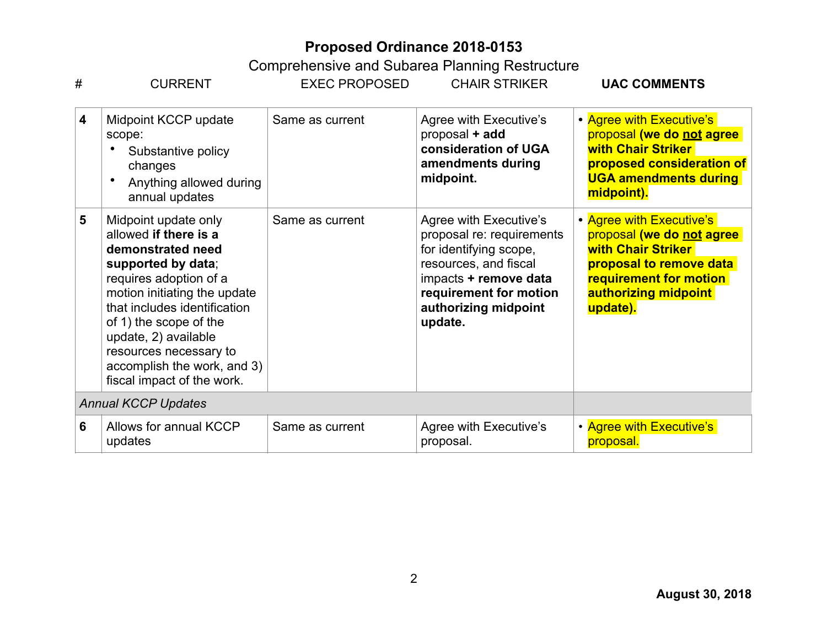| #                       | <b>CURRENT</b>                                                                                                                                                                                                                                                                                                              | <b>EXEC PROPOSED</b> | <b>CHAIR STRIKER</b>                                                                                                                                                                         | <b>UAC COMMENTS</b>                                                                                                                                                                |
|-------------------------|-----------------------------------------------------------------------------------------------------------------------------------------------------------------------------------------------------------------------------------------------------------------------------------------------------------------------------|----------------------|----------------------------------------------------------------------------------------------------------------------------------------------------------------------------------------------|------------------------------------------------------------------------------------------------------------------------------------------------------------------------------------|
| $\overline{\mathbf{4}}$ | Midpoint KCCP update<br>scope:<br>Substantive policy<br>changes<br>Anything allowed during<br>annual updates                                                                                                                                                                                                                | Same as current      | Agree with Executive's<br>proposal + add<br>consideration of UGA<br>amendments during<br>midpoint.                                                                                           | • Agree with Executive's<br>proposal (we do not agree<br><b>with Chair Striker</b><br>proposed consideration of<br><b>UGA amendments during</b><br>midpoint).                      |
| 5                       | Midpoint update only<br>allowed if there is a<br>demonstrated need<br>supported by data;<br>requires adoption of a<br>motion initiating the update<br>that includes identification<br>of 1) the scope of the<br>update, 2) available<br>resources necessary to<br>accomplish the work, and 3)<br>fiscal impact of the work. | Same as current      | Agree with Executive's<br>proposal re: requirements<br>for identifying scope,<br>resources, and fiscal<br>impacts + remove data<br>requirement for motion<br>authorizing midpoint<br>update. | • Agree with Executive's<br>proposal (we do not agree<br><b>with Chair Striker</b><br>proposal to remove data<br><b>requirement for motion</b><br>authorizing midpoint<br>update). |
|                         | <b>Annual KCCP Updates</b>                                                                                                                                                                                                                                                                                                  |                      |                                                                                                                                                                                              |                                                                                                                                                                                    |
| 6                       | Allows for annual KCCP<br>updates                                                                                                                                                                                                                                                                                           | Same as current      | Agree with Executive's<br>proposal.                                                                                                                                                          | • Agree with Executive's<br>proposal.                                                                                                                                              |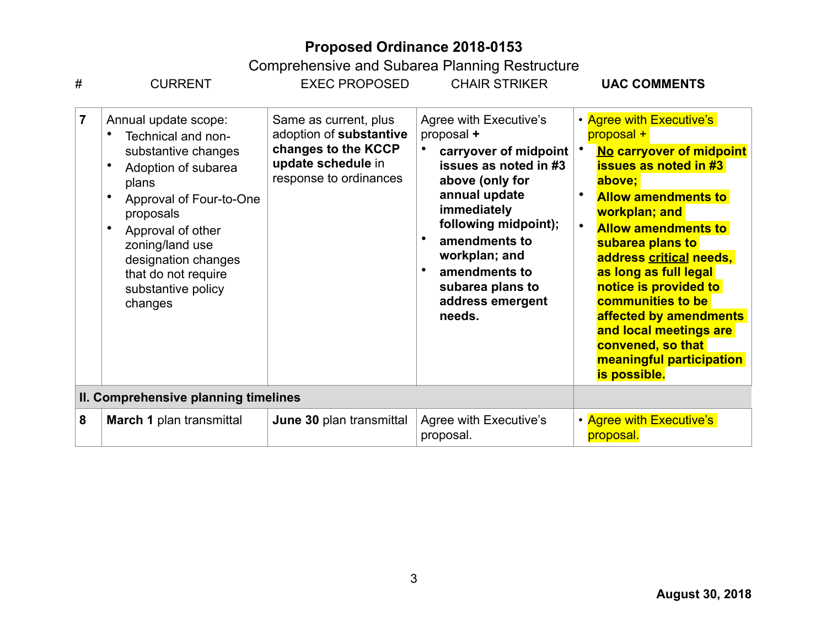| #              | <b>CURRENT</b>                                                                                                                                                                                                                                                   | <b>EXEC PROPOSED</b>                                                                                                    | <b>CHAIR STRIKER</b>                                                                                                                                                                                                                                                   | <b>UAC COMMENTS</b>                                                                                                                                                                                                                                                                                                                                                                                                                               |
|----------------|------------------------------------------------------------------------------------------------------------------------------------------------------------------------------------------------------------------------------------------------------------------|-------------------------------------------------------------------------------------------------------------------------|------------------------------------------------------------------------------------------------------------------------------------------------------------------------------------------------------------------------------------------------------------------------|---------------------------------------------------------------------------------------------------------------------------------------------------------------------------------------------------------------------------------------------------------------------------------------------------------------------------------------------------------------------------------------------------------------------------------------------------|
| $\overline{7}$ | Annual update scope:<br>Technical and non-<br>substantive changes<br>Adoption of subarea<br>plans<br>Approval of Four-to-One<br>proposals<br>Approval of other<br>zoning/land use<br>designation changes<br>that do not require<br>substantive policy<br>changes | Same as current, plus<br>adoption of substantive<br>changes to the KCCP<br>update schedule in<br>response to ordinances | Agree with Executive's<br>proposal +<br>carryover of midpoint<br>issues as noted in #3<br>above (only for<br>annual update<br>immediately<br>following midpoint);<br>amendments to<br>workplan; and<br>amendments to<br>subarea plans to<br>address emergent<br>needs. | • Agree with Executive's<br>proposal +<br>No carryover of midpoint<br><b>issues as noted in #3</b><br>above;<br><b>Allow amendments to</b><br>workplan; and<br>$\bullet$<br><b>Allow amendments to</b><br>subarea plans to<br>address critical needs,<br>as long as full legal<br>notice is provided to<br>communities to be<br>affected by amendments<br>and local meetings are<br>convened, so that<br>meaningful participation<br>is possible. |
|                | II. Comprehensive planning timelines                                                                                                                                                                                                                             |                                                                                                                         |                                                                                                                                                                                                                                                                        |                                                                                                                                                                                                                                                                                                                                                                                                                                                   |
| 8              | <b>March 1 plan transmittal</b>                                                                                                                                                                                                                                  | June 30 plan transmittal                                                                                                | Agree with Executive's<br>proposal.                                                                                                                                                                                                                                    | • Agree with Executive's<br>proposal.                                                                                                                                                                                                                                                                                                                                                                                                             |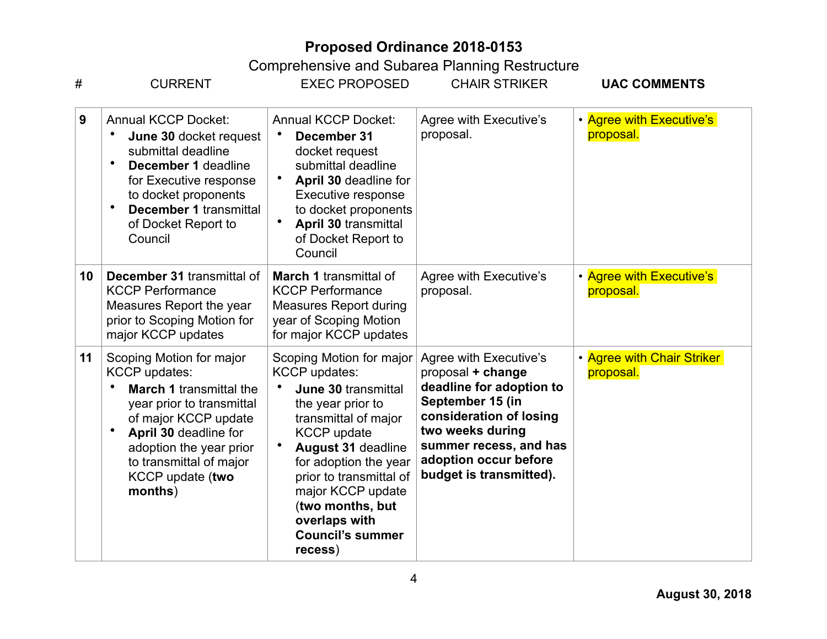| #  | <b>CURRENT</b>                                                                                                                                                                                                                                                     | <b>EXEC PROPOSED</b>                                                                                                                                                                                                                                                                                                        | <b>CHAIR STRIKER</b>                                                                                                                                                                                                     | <b>UAC COMMENTS</b>                     |
|----|--------------------------------------------------------------------------------------------------------------------------------------------------------------------------------------------------------------------------------------------------------------------|-----------------------------------------------------------------------------------------------------------------------------------------------------------------------------------------------------------------------------------------------------------------------------------------------------------------------------|--------------------------------------------------------------------------------------------------------------------------------------------------------------------------------------------------------------------------|-----------------------------------------|
| 9  | <b>Annual KCCP Docket:</b><br>June 30 docket request<br>submittal deadline<br>December 1 deadline<br>for Executive response<br>to docket proponents<br>$\bullet$<br><b>December 1 transmittal</b><br>of Docket Report to<br>Council                                | <b>Annual KCCP Docket:</b><br>December 31<br>docket request<br>submittal deadline<br>April 30 deadline for<br>Executive response<br>to docket proponents<br>April 30 transmittal<br>of Docket Report to<br>Council                                                                                                          | Agree with Executive's<br>proposal.                                                                                                                                                                                      | • Agree with Executive's<br>proposal.   |
| 10 | December 31 transmittal of<br><b>KCCP Performance</b><br>Measures Report the year<br>prior to Scoping Motion for<br>major KCCP updates                                                                                                                             | <b>March 1 transmittal of</b><br><b>KCCP Performance</b><br><b>Measures Report during</b><br>year of Scoping Motion<br>for major KCCP updates                                                                                                                                                                               | Agree with Executive's<br>proposal.                                                                                                                                                                                      | • Agree with Executive's<br>proposal.   |
| 11 | Scoping Motion for major<br><b>KCCP</b> updates:<br><b>March 1 transmittal the</b><br>year prior to transmittal<br>of major KCCP update<br>$\bullet$<br>April 30 deadline for<br>adoption the year prior<br>to transmittal of major<br>KCCP update (two<br>months) | Scoping Motion for major<br><b>KCCP</b> updates:<br>June 30 transmittal<br>the year prior to<br>transmittal of major<br><b>KCCP</b> update<br><b>August 31 deadline</b><br>for adoption the year<br>prior to transmittal of<br>major KCCP update<br>(two months, but<br>overlaps with<br><b>Council's summer</b><br>recess) | Agree with Executive's<br>proposal + change<br>deadline for adoption to<br>September 15 (in<br>consideration of losing<br>two weeks during<br>summer recess, and has<br>adoption occur before<br>budget is transmitted). | • Agree with Chair Striker<br>proposal. |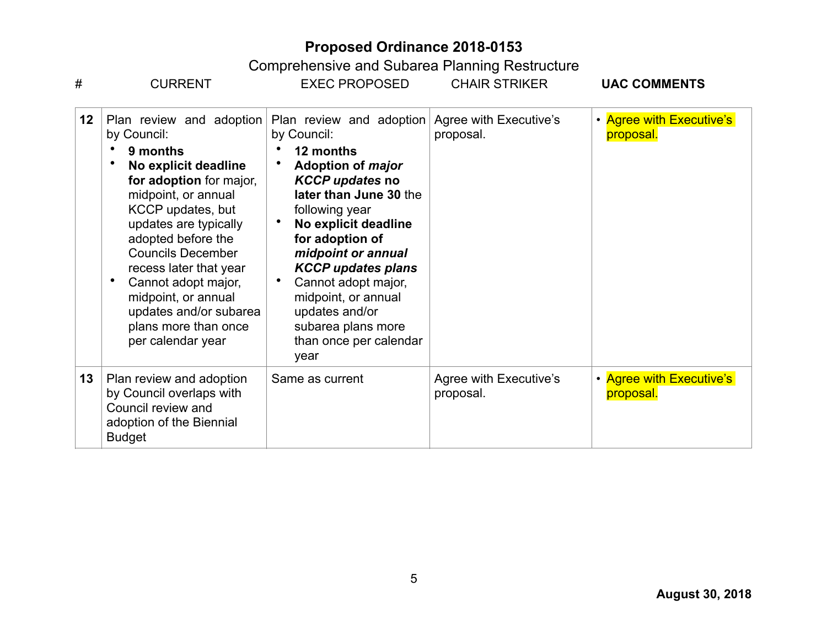| #  | <b>CURRENT</b>                                                                                                                                                                                                                                                                                                                                                               | <b>EXEC PROPOSED</b>                                                                                                                                                                                                                                                                                                                                                  | <b>CHAIR STRIKER</b>                | <b>UAC COMMENTS</b>                   |
|----|------------------------------------------------------------------------------------------------------------------------------------------------------------------------------------------------------------------------------------------------------------------------------------------------------------------------------------------------------------------------------|-----------------------------------------------------------------------------------------------------------------------------------------------------------------------------------------------------------------------------------------------------------------------------------------------------------------------------------------------------------------------|-------------------------------------|---------------------------------------|
| 12 | Plan review and adoption<br>by Council:<br>9 months<br>No explicit deadline<br>for adoption for major,<br>midpoint, or annual<br>KCCP updates, but<br>updates are typically<br>adopted before the<br><b>Councils December</b><br>recess later that year<br>Cannot adopt major,<br>midpoint, or annual<br>updates and/or subarea<br>plans more than once<br>per calendar year | Plan review and adoption<br>by Council:<br>12 months<br>Adoption of major<br><b>KCCP updates no</b><br>later than June 30 the<br>following year<br>No explicit deadline<br>for adoption of<br>midpoint or annual<br><b>KCCP updates plans</b><br>Cannot adopt major,<br>midpoint, or annual<br>updates and/or<br>subarea plans more<br>than once per calendar<br>year | Agree with Executive's<br>proposal. | • Agree with Executive's<br>proposal. |
| 13 | Plan review and adoption<br>by Council overlaps with<br>Council review and<br>adoption of the Biennial<br><b>Budget</b>                                                                                                                                                                                                                                                      | Same as current                                                                                                                                                                                                                                                                                                                                                       | Agree with Executive's<br>proposal. | • Agree with Executive's<br>proposal. |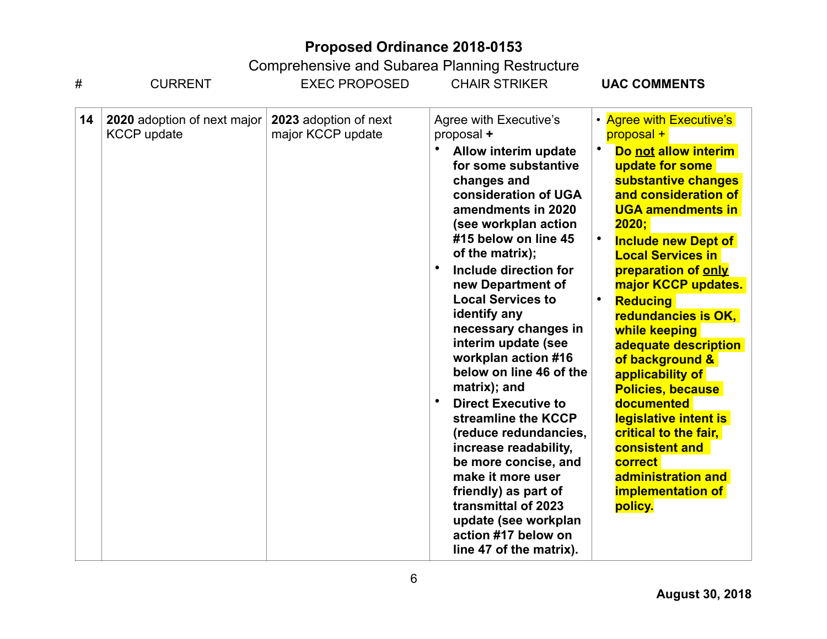| #  | <b>CURRENT</b>                                           | <b>EXEC PROPOSED</b>                       | <b>CHAIR STRIKER</b>                                                                                                                                                                                                                                                                                                                                                                                                                                                                                                                                                                                                                                                                                         | <b>UAC COMMENTS</b>                                                                                                                                                                                                                                                                                                                                                                                                                                                                                                                                                                                               |  |  |
|----|----------------------------------------------------------|--------------------------------------------|--------------------------------------------------------------------------------------------------------------------------------------------------------------------------------------------------------------------------------------------------------------------------------------------------------------------------------------------------------------------------------------------------------------------------------------------------------------------------------------------------------------------------------------------------------------------------------------------------------------------------------------------------------------------------------------------------------------|-------------------------------------------------------------------------------------------------------------------------------------------------------------------------------------------------------------------------------------------------------------------------------------------------------------------------------------------------------------------------------------------------------------------------------------------------------------------------------------------------------------------------------------------------------------------------------------------------------------------|--|--|
| 14 | <b>2020</b> adoption of next major<br><b>KCCP</b> update | 2023 adoption of next<br>major KCCP update | Agree with Executive's<br>proposal +<br>Allow interim update<br>for some substantive<br>changes and<br>consideration of UGA<br>amendments in 2020<br>(see workplan action<br>#15 below on line 45<br>of the matrix);<br>Include direction for<br>new Department of<br><b>Local Services to</b><br>identify any<br>necessary changes in<br>interim update (see<br>workplan action #16<br>below on line 46 of the<br>matrix); and<br><b>Direct Executive to</b><br>streamline the KCCP<br>(reduce redundancies,<br>increase readability,<br>be more concise, and<br>make it more user<br>friendly) as part of<br>transmittal of 2023<br>update (see workplan<br>action #17 below on<br>line 47 of the matrix). | • Agree with Executive's<br>proposal +<br>Do not allow interim<br>update for some<br>substantive changes<br>and consideration of<br><b>UGA amendments in</b><br>2020:<br>$\bullet$<br><b>Include new Dept of</b><br><b>Local Services in</b><br>preparation of only<br>major KCCP updates.<br><b>Reducing</b><br>redundancies is OK,<br>while keeping<br>adequate description<br>of background &<br>applicability of<br><b>Policies, because</b><br><b>documented</b><br>legislative intent is<br>critical to the fair,<br>consistent and<br>correct<br>administration and<br><b>implementation of</b><br>policy. |  |  |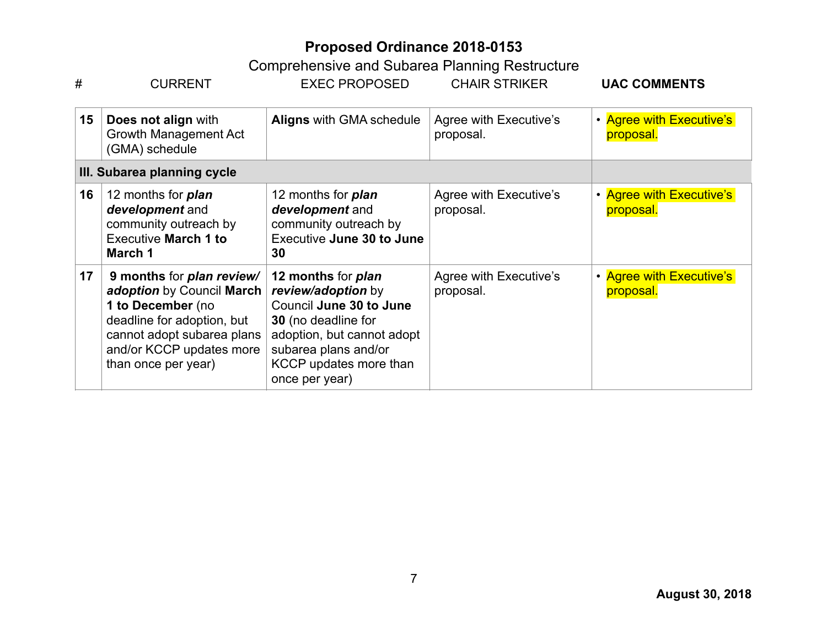| #  | <b>EXEC PROPOSED</b><br><b>CURRENT</b>                                                                                                                                                                                                                                                                                                                                                            |                                                                                                                 | <b>CHAIR STRIKER</b>                | <b>UAC COMMENTS</b>                   |
|----|---------------------------------------------------------------------------------------------------------------------------------------------------------------------------------------------------------------------------------------------------------------------------------------------------------------------------------------------------------------------------------------------------|-----------------------------------------------------------------------------------------------------------------|-------------------------------------|---------------------------------------|
| 15 | Does not align with<br>Growth Management Act<br>(GMA) schedule                                                                                                                                                                                                                                                                                                                                    | <b>Aligns with GMA schedule</b>                                                                                 | Agree with Executive's<br>proposal. | • Agree with Executive's<br>proposal. |
|    | III. Subarea planning cycle                                                                                                                                                                                                                                                                                                                                                                       |                                                                                                                 |                                     |                                       |
| 16 | 12 months for <b>plan</b><br>development and<br>community outreach by<br><b>Executive March 1 to</b><br>March 1                                                                                                                                                                                                                                                                                   | 12 months for <b>plan</b><br>development and<br>community outreach by<br><b>Executive June 30 to June</b><br>30 | Agree with Executive's<br>proposal. | • Agree with Executive's<br>proposal. |
| 17 | 9 months for plan review/<br>12 months for <i>plan</i><br>review/adoption by<br>adoption by Council March<br>Council June 30 to June<br>1 to December (no<br>deadline for adoption, but<br>30 (no deadline for<br>cannot adopt subarea plans<br>adoption, but cannot adopt<br>and/or KCCP updates more<br>subarea plans and/or<br>KCCP updates more than<br>than once per year)<br>once per year) |                                                                                                                 | Agree with Executive's<br>proposal. | • Agree with Executive's<br>proposal. |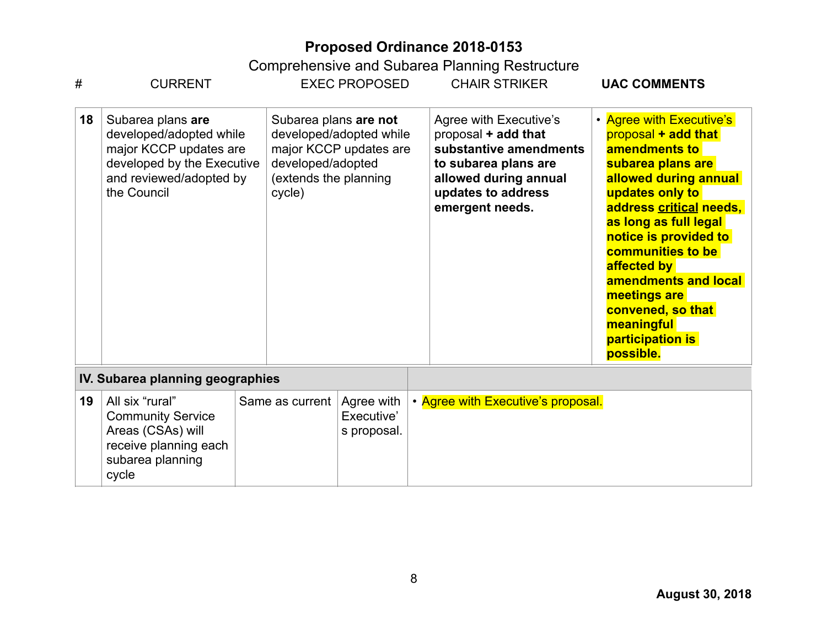| #                                | <b>CURRENT</b>                                                                                                                                 |  |                                                                                                                                    | <b>EXEC PROPOSED</b>                    |  | <b>CHAIR STRIKER</b>                                                                                                                                              | <b>UAC COMMENTS</b>                                                                                                                                                                                                                                                                                                                                            |
|----------------------------------|------------------------------------------------------------------------------------------------------------------------------------------------|--|------------------------------------------------------------------------------------------------------------------------------------|-----------------------------------------|--|-------------------------------------------------------------------------------------------------------------------------------------------------------------------|----------------------------------------------------------------------------------------------------------------------------------------------------------------------------------------------------------------------------------------------------------------------------------------------------------------------------------------------------------------|
| 18                               | Subarea plans are<br>developed/adopted while<br>major KCCP updates are<br>developed by the Executive<br>and reviewed/adopted by<br>the Council |  | Subarea plans are not<br>developed/adopted while<br>major KCCP updates are<br>developed/adopted<br>(extends the planning<br>cycle) |                                         |  | Agree with Executive's<br>proposal + add that<br>substantive amendments<br>to subarea plans are<br>allowed during annual<br>updates to address<br>emergent needs. | • Agree with Executive's<br>proposal + add that<br>amendments to<br>subarea plans are<br>allowed during annual<br>updates only to<br>address critical needs,<br>as long as full legal<br>notice is provided to<br>communities to be<br>affected by<br>amendments and local<br>meetings are<br>convened, so that<br>meaningful<br>participation is<br>possible. |
| IV. Subarea planning geographies |                                                                                                                                                |  |                                                                                                                                    |                                         |  |                                                                                                                                                                   |                                                                                                                                                                                                                                                                                                                                                                |
| 19                               | All six "rural"<br><b>Community Service</b><br>Areas (CSAs) will<br>receive planning each<br>subarea planning<br>cycle                         |  | Same as current                                                                                                                    | Agree with<br>Executive'<br>s proposal. |  | • Agree with Executive's proposal.                                                                                                                                |                                                                                                                                                                                                                                                                                                                                                                |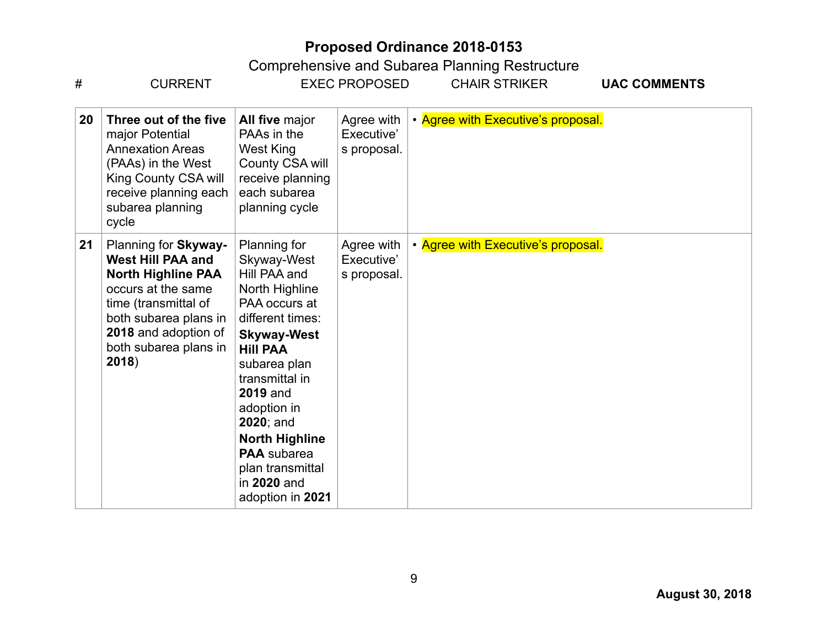| #  | <b>CURRENT</b>                                                                                                                                                                                                 |                                                                                                                                                                                                                                                                                                                                       | <b>EXEC PROPOSED</b>                    | <b>CHAIR STRIKER</b>               | <b>UAC COMMENTS</b> |
|----|----------------------------------------------------------------------------------------------------------------------------------------------------------------------------------------------------------------|---------------------------------------------------------------------------------------------------------------------------------------------------------------------------------------------------------------------------------------------------------------------------------------------------------------------------------------|-----------------------------------------|------------------------------------|---------------------|
| 20 | Three out of the five<br>major Potential<br><b>Annexation Areas</b><br>(PAAs) in the West<br>King County CSA will<br>receive planning each<br>subarea planning<br>cycle                                        | All five major<br>PAAs in the<br>West King<br>County CSA will<br>receive planning<br>each subarea<br>planning cycle                                                                                                                                                                                                                   | Agree with<br>Executive'<br>s proposal. | • Agree with Executive's proposal. |                     |
| 21 | Planning for Skyway-<br><b>West Hill PAA and</b><br><b>North Highline PAA</b><br>occurs at the same<br>time (transmittal of<br>both subarea plans in<br>2018 and adoption of<br>both subarea plans in<br>2018) | Planning for<br>Skyway-West<br>Hill PAA and<br>North Highline<br>PAA occurs at<br>different times:<br><b>Skyway-West</b><br><b>Hill PAA</b><br>subarea plan<br>transmittal in<br><b>2019 and</b><br>adoption in<br>$2020$ ; and<br><b>North Highline</b><br><b>PAA</b> subarea<br>plan transmittal<br>in 2020 and<br>adoption in 2021 | Agree with<br>Executive'<br>s proposal. | • Agree with Executive's proposal. |                     |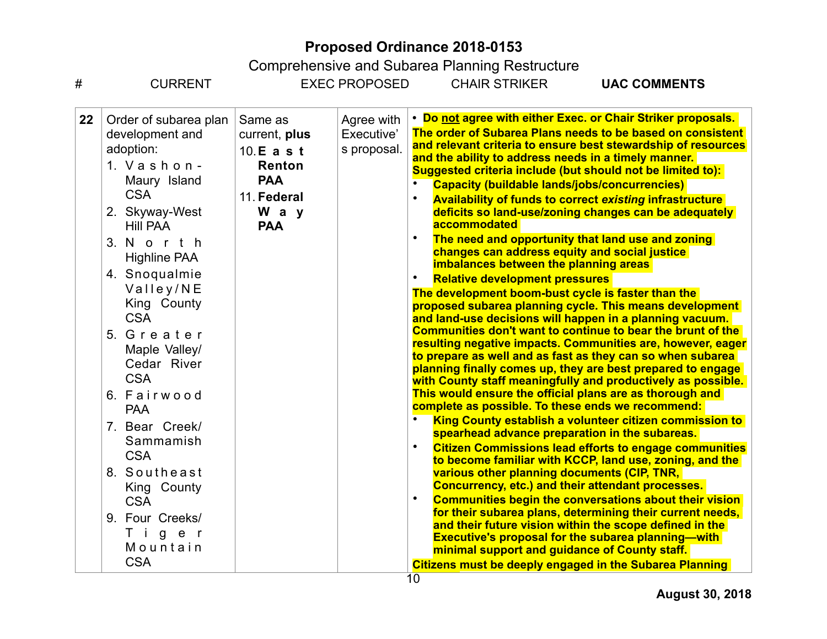| #       | <b>CURRENT</b>                                                                                                                                                                                                                                                                                                                                                                                                                                                                    |                                                                                                       | <b>EXEC PROPOSED</b>                    | <b>Comprendition</b> of and Caparca Flammig Restractors<br><b>CHAIR STRIKER</b>                                                                                                                                                                                                                                                                                                                                                                                                                                                                                                          | <b>UAC COMMENTS</b>                                                                                                                                                                                                                                                                                                                                                                                                                                                                                                                                                                                                                                                                                                                                                                                                                                                                                                                                                                                                                                                                                                                                                                                                                                                                                                                                                                                                                                                     |
|---------|-----------------------------------------------------------------------------------------------------------------------------------------------------------------------------------------------------------------------------------------------------------------------------------------------------------------------------------------------------------------------------------------------------------------------------------------------------------------------------------|-------------------------------------------------------------------------------------------------------|-----------------------------------------|------------------------------------------------------------------------------------------------------------------------------------------------------------------------------------------------------------------------------------------------------------------------------------------------------------------------------------------------------------------------------------------------------------------------------------------------------------------------------------------------------------------------------------------------------------------------------------------|-------------------------------------------------------------------------------------------------------------------------------------------------------------------------------------------------------------------------------------------------------------------------------------------------------------------------------------------------------------------------------------------------------------------------------------------------------------------------------------------------------------------------------------------------------------------------------------------------------------------------------------------------------------------------------------------------------------------------------------------------------------------------------------------------------------------------------------------------------------------------------------------------------------------------------------------------------------------------------------------------------------------------------------------------------------------------------------------------------------------------------------------------------------------------------------------------------------------------------------------------------------------------------------------------------------------------------------------------------------------------------------------------------------------------------------------------------------------------|
| $22 \,$ | Order of subarea plan<br>development and<br>adoption:<br>1. $V$ as hon-<br>Maury Island<br><b>CSA</b><br>2. Skyway-West<br><b>Hill PAA</b><br>3. North<br><b>Highline PAA</b><br>4. Snoqualmie<br>Valley/NE<br>King County<br><b>CSA</b><br>5. Greater<br>Maple Valley/<br>Cedar River<br><b>CSA</b><br>6. Fairwood<br><b>PAA</b><br>7. Bear Creek/<br>Sammamish<br><b>CSA</b><br>8. Southeast<br>King County<br><b>CSA</b><br>9. Four Creeks/<br>Tiger<br>Mountain<br><b>CSA</b> | Same as<br>current, plus<br>10. E a s t<br>Renton<br><b>PAA</b><br>11. Federal<br>W a y<br><b>PAA</b> | Agree with<br>Executive'<br>s proposal. | and the ability to address needs in a timely manner.<br><b>Capacity (buildable lands/jobs/concurrencies)</b><br>accommodated<br>changes can address equity and social justice<br>imbalances between the planning areas<br><b>Relative development pressures</b><br>The development boom-bust cycle is faster than the<br>complete as possible. To these ends we recommend:<br>spearhead advance preparation in the subareas.<br>various other planning documents (CIP, TNR,<br><b>Concurrency, etc.) and their attendant processes.</b><br>minimal support and guidance of County staff. | • Do not agree with either Exec. or Chair Striker proposals.<br>The order of Subarea Plans needs to be based on consistent<br>and relevant criteria to ensure best stewardship of resources<br>Suggested criteria include (but should not be limited to):<br><b>Availability of funds to correct existing infrastructure</b><br>deficits so land-use/zoning changes can be adequately<br>The need and opportunity that land use and zoning<br>proposed subarea planning cycle. This means development<br>and land-use decisions will happen in a planning vacuum.<br>Communities don't want to continue to bear the brunt of the<br>resulting negative impacts. Communities are, however, eager<br>to prepare as well and as fast as they can so when subarea<br>planning finally comes up, they are best prepared to engage<br>with County staff meaningfully and productively as possible.<br>This would ensure the official plans are as thorough and<br>King County establish a volunteer citizen commission to<br><b>Citizen Commissions lead efforts to engage communities</b><br>to become familiar with KCCP, land use, zoning, and the<br><b>Communities begin the conversations about their vision</b><br>for their subarea plans, determining their current needs,<br>and their future vision within the scope defined in the<br><b>Executive's proposal for the subarea planning—with</b><br><b>Citizens must be deeply engaged in the Subarea Planning</b> |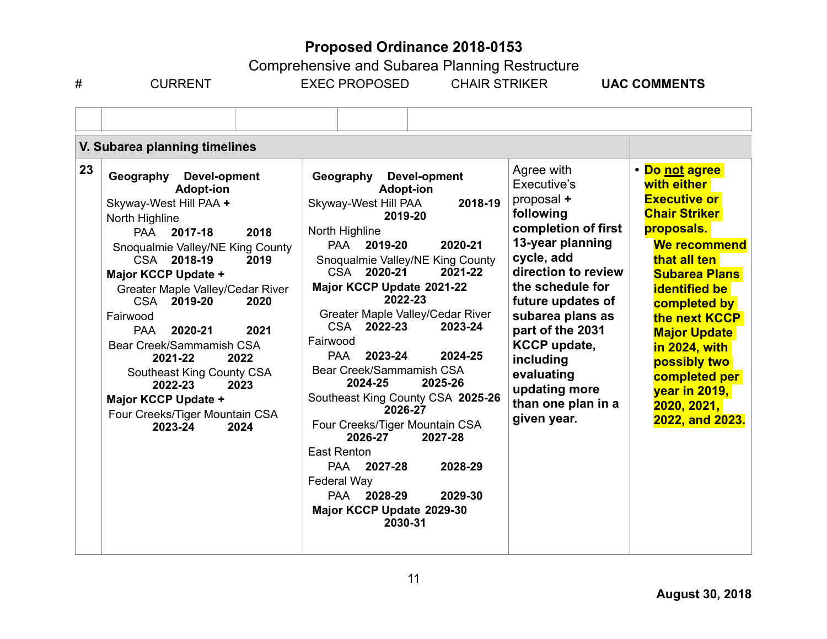Comprehensive and Subarea Planning Restructure

# CURRENT EXEC PROPOSED CHAIR STRIKER **UAC COMMENTS** 

|    | V. Subarea planning timelines                                                                                                                                                                                                                                                                                                                                                                                                                                                                   |                                                                                                                                                                                                                                                                                                                                                                                                                                                                                                                                                                                                                                                    |                                                                                                                                                                                                                                                                                                                               |                                                                                                                                                                                                                                                                                                                                         |
|----|-------------------------------------------------------------------------------------------------------------------------------------------------------------------------------------------------------------------------------------------------------------------------------------------------------------------------------------------------------------------------------------------------------------------------------------------------------------------------------------------------|----------------------------------------------------------------------------------------------------------------------------------------------------------------------------------------------------------------------------------------------------------------------------------------------------------------------------------------------------------------------------------------------------------------------------------------------------------------------------------------------------------------------------------------------------------------------------------------------------------------------------------------------------|-------------------------------------------------------------------------------------------------------------------------------------------------------------------------------------------------------------------------------------------------------------------------------------------------------------------------------|-----------------------------------------------------------------------------------------------------------------------------------------------------------------------------------------------------------------------------------------------------------------------------------------------------------------------------------------|
| 23 | Devel-opment<br>Geography<br><b>Adopt-ion</b><br>Skyway-West Hill PAA +<br>North Highline<br><b>PAA</b><br>2017-18<br>2018<br>Snoqualmie Valley/NE King County<br>CSA 2018-19<br>2019<br>Major KCCP Update +<br>Greater Maple Valley/Cedar River<br>CSA 2019-20<br>2020<br>Fairwood<br>2020-21<br>2021<br><b>PAA</b><br>Bear Creek/Sammamish CSA<br>2021-22<br>2022<br>Southeast King County CSA<br>2022-23<br>2023<br>Major KCCP Update +<br>Four Creeks/Tiger Mountain CSA<br>2023-24<br>2024 | Devel-opment<br>Geography<br><b>Adopt-ion</b><br>Skyway-West Hill PAA<br>2018-19<br>2019-20<br>North Highline<br>2020-21<br>2019-20<br><b>PAA</b><br>Snoqualmie Valley/NE King County<br>CSA 2020-21<br>2021-22<br>Major KCCP Update 2021-22<br>2022-23<br>Greater Maple Valley/Cedar River<br>CSA 2022-23<br>2023-24<br>Fairwood<br>2023-24<br>2024-25<br>PAA<br>Bear Creek/Sammamish CSA<br>2024-25<br>2025-26<br>Southeast King County CSA 2025-26<br>2026-27<br>Four Creeks/Tiger Mountain CSA<br>2026-27<br>2027-28<br>East Renton<br>2028-29<br>PAA 2027-28<br>Federal Way<br>PAA 2028-29<br>2029-30<br>Major KCCP Update 2029-30<br>2030-31 | Agree with<br>Executive's<br>proposal +<br>following<br>completion of first<br>13-year planning<br>cycle, add<br>direction to review<br>the schedule for<br>future updates of<br>subarea plans as<br>part of the 2031<br><b>KCCP update,</b><br>including<br>evaluating<br>updating more<br>than one plan in a<br>given year. | • Do not agree<br>with either<br><b>Executive or</b><br><b>Chair Striker</b><br>proposals.<br>We recommend<br>that all ten<br><b>Subarea Plans</b><br><b>identified be</b><br>completed by<br>the next KCCP<br><b>Major Update</b><br>in 2024, with<br>possibly two<br>completed per<br>year in 2019,<br>2020, 2021,<br>2022, and 2023. |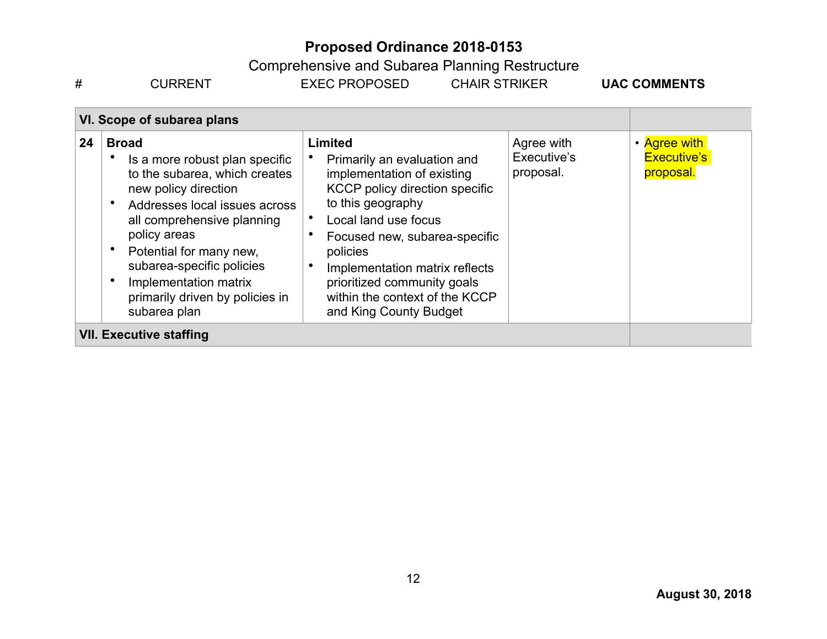Comprehensive and Subarea Planning Restructure

# CURRENT EXEC PROPOSED CHAIR STRIKER **UAC COMMENTS** 

| VI. Scope of subarea plans |                                                                                                                                                                                                                                                                                                                                         |                                                                                                                                                                                                                                                                                                                                           |                                        |                                                 |
|----------------------------|-----------------------------------------------------------------------------------------------------------------------------------------------------------------------------------------------------------------------------------------------------------------------------------------------------------------------------------------|-------------------------------------------------------------------------------------------------------------------------------------------------------------------------------------------------------------------------------------------------------------------------------------------------------------------------------------------|----------------------------------------|-------------------------------------------------|
| 24                         | <b>Broad</b><br>Is a more robust plan specific<br>to the subarea, which creates<br>new policy direction<br>Addresses local issues across<br>$\bullet$<br>all comprehensive planning<br>policy areas<br>Potential for many new,<br>subarea-specific policies<br>Implementation matrix<br>primarily driven by policies in<br>subarea plan | <b>Limited</b><br>Primarily an evaluation and<br>implementation of existing<br>KCCP policy direction specific<br>to this geography<br>Local land use focus<br>Focused new, subarea-specific<br>policies<br>Implementation matrix reflects<br>٠<br>prioritized community goals<br>within the context of the KCCP<br>and King County Budget | Agree with<br>Executive's<br>proposal. | • Agree with<br><b>Executive's</b><br>proposal. |
|                            | <b>VII. Executive staffing</b>                                                                                                                                                                                                                                                                                                          |                                                                                                                                                                                                                                                                                                                                           |                                        |                                                 |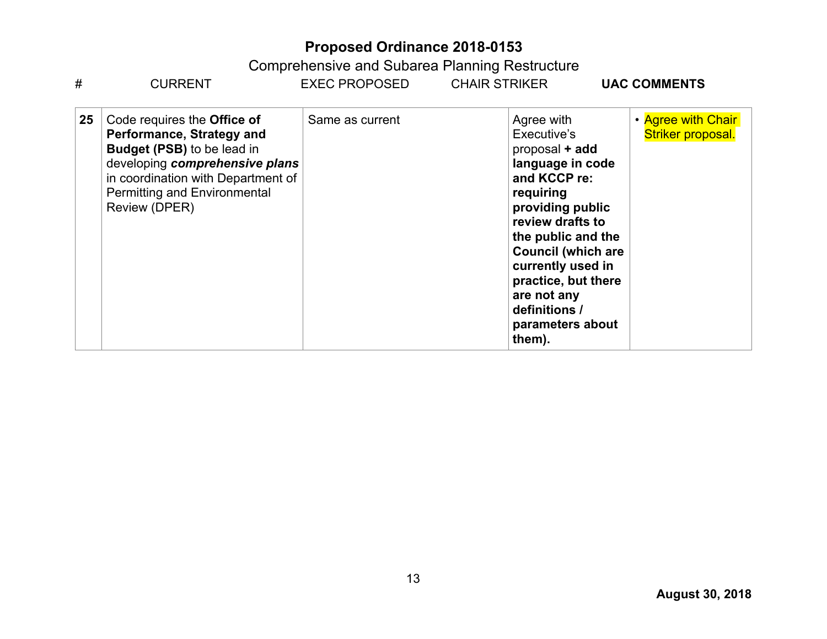| #  | <b>CURRENT</b>                                                                                                                                                                                                                | <b>EXEC PROPOSED</b> | <b>CHAIR STRIKER</b>                                                                                                                                                                                                                                                                              | <b>UAC COMMENTS</b>                     |
|----|-------------------------------------------------------------------------------------------------------------------------------------------------------------------------------------------------------------------------------|----------------------|---------------------------------------------------------------------------------------------------------------------------------------------------------------------------------------------------------------------------------------------------------------------------------------------------|-----------------------------------------|
| 25 | Code requires the Office of<br>Performance, Strategy and<br><b>Budget (PSB)</b> to be lead in<br>developing comprehensive plans<br>in coordination with Department of<br><b>Permitting and Environmental</b><br>Review (DPER) | Same as current      | Agree with<br>Executive's<br>proposal + add<br>language in code<br>and KCCP re:<br>requiring<br>providing public<br>review drafts to<br>the public and the<br><b>Council (which are</b><br>currently used in<br>practice, but there<br>are not any<br>definitions /<br>parameters about<br>them). | • Agree with Chair<br>Striker proposal. |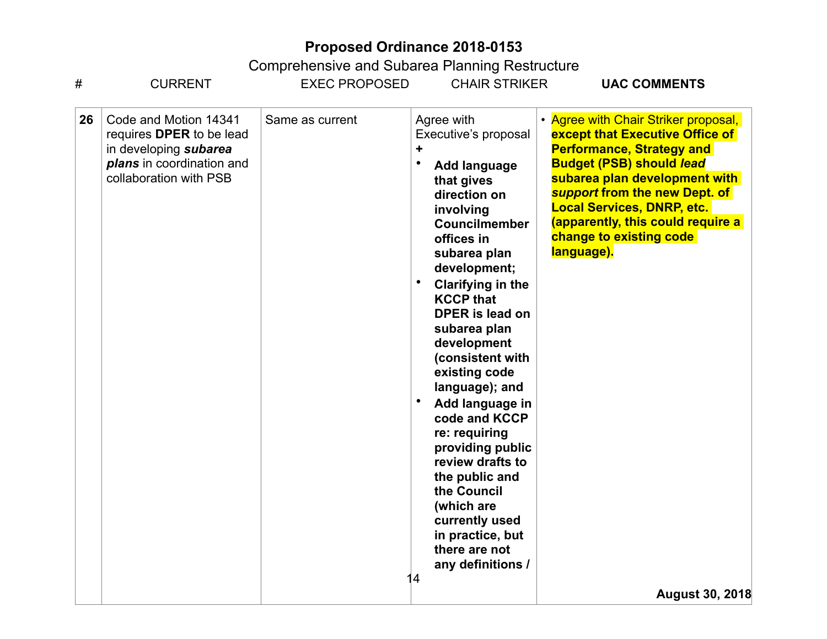| #  | <b>CURRENT</b>                                                                                                                    | <b>EXEC PROPOSED</b> | <b>CHAIR STRIKER</b>                                                                                                                                                                                                                                                                                                                                                                                                                                                                                                                                                   | <b>UAC COMMENTS</b>                                                                                                                                                                                                                                                                                                                                           |
|----|-----------------------------------------------------------------------------------------------------------------------------------|----------------------|------------------------------------------------------------------------------------------------------------------------------------------------------------------------------------------------------------------------------------------------------------------------------------------------------------------------------------------------------------------------------------------------------------------------------------------------------------------------------------------------------------------------------------------------------------------------|---------------------------------------------------------------------------------------------------------------------------------------------------------------------------------------------------------------------------------------------------------------------------------------------------------------------------------------------------------------|
| 26 | Code and Motion 14341<br>requires DPER to be lead<br>in developing subarea<br>plans in coordination and<br>collaboration with PSB | Same as current      | Agree with<br>Executive's proposal<br>٠<br><b>Add language</b><br>that gives<br>direction on<br>involving<br>Councilmember<br>offices in<br>subarea plan<br>development;<br><b>Clarifying in the</b><br><b>KCCP that</b><br><b>DPER</b> is lead on<br>subarea plan<br>development<br>(consistent with<br>existing code<br>language); and<br>Add language in<br>code and KCCP<br>re: requiring<br>providing public<br>review drafts to<br>the public and<br>the Council<br>(which are<br>currently used<br>in practice, but<br>there are not<br>any definitions /<br>14 | • Agree with Chair Striker proposal,<br>except that Executive Office of<br><b>Performance, Strategy and</b><br><b>Budget (PSB) should lead</b><br>subarea plan development with<br>support from the new Dept. of<br><b>Local Services, DNRP, etc.</b><br>(apparently, this could require a<br>change to existing code<br>language).<br><b>August 30, 2018</b> |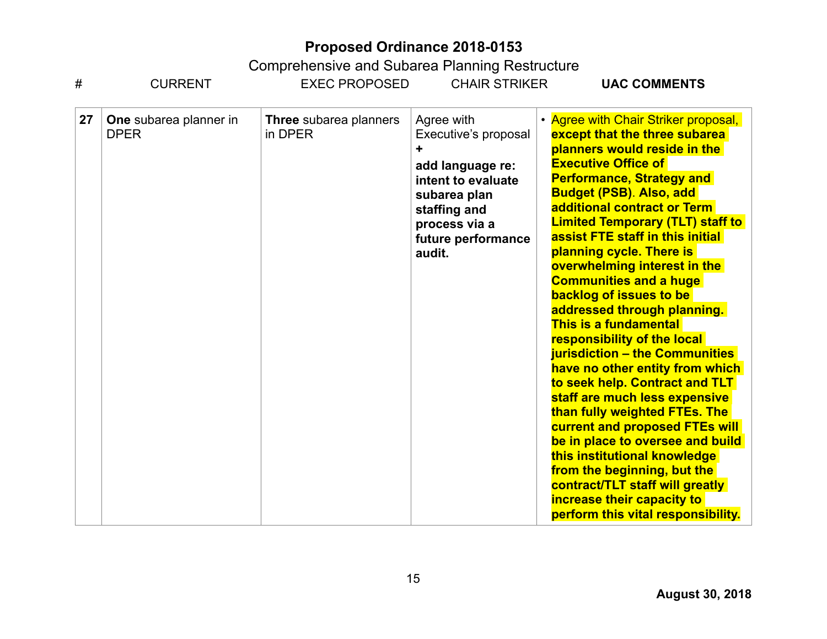| #  | <b>CURRENT</b>                        | <b>EXEC PROPOSED</b>              | <b>CHAIR STRIKER</b>                                                                                                                                          | <b>UAC COMMENTS</b>                                                                                                                                                                                                                                                                                                                                                                                                                                                                                                                                                                                                                                                                                                                                                                                                                                                                                                                                         |
|----|---------------------------------------|-----------------------------------|---------------------------------------------------------------------------------------------------------------------------------------------------------------|-------------------------------------------------------------------------------------------------------------------------------------------------------------------------------------------------------------------------------------------------------------------------------------------------------------------------------------------------------------------------------------------------------------------------------------------------------------------------------------------------------------------------------------------------------------------------------------------------------------------------------------------------------------------------------------------------------------------------------------------------------------------------------------------------------------------------------------------------------------------------------------------------------------------------------------------------------------|
| 27 | One subarea planner in<br><b>DPER</b> | Three subarea planners<br>in DPER | Agree with<br>Executive's proposal<br>add language re:<br>intent to evaluate<br>subarea plan<br>staffing and<br>process via a<br>future performance<br>audit. | • Agree with Chair Striker proposal,<br>except that the three subarea<br>planners would reside in the<br><b>Executive Office of</b><br><b>Performance, Strategy and</b><br><b>Budget (PSB). Also, add</b><br>additional contract or Term<br><b>Limited Temporary (TLT) staff to</b><br>assist FTE staff in this initial<br>planning cycle. There is<br>overwhelming interest in the<br><b>Communities and a huge</b><br>backlog of issues to be<br>addressed through planning.<br>This is a fundamental<br>responsibility of the local<br>jurisdiction - the Communities<br>have no other entity from which<br>to seek help. Contract and TLT<br>staff are much less expensive<br>than fully weighted FTEs. The<br>current and proposed FTEs will<br>be in place to oversee and build<br>this institutional knowledge<br>from the beginning, but the<br>contract/TLT staff will greatly<br>increase their capacity to<br>perform this vital responsibility. |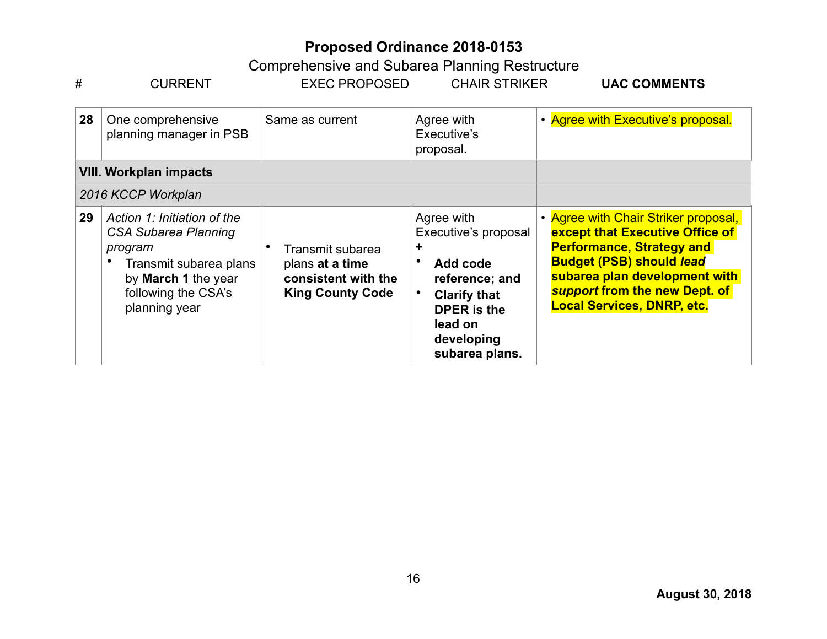| #  | <b>CURRENT</b>                                                                                                                                          | <b>EXEC PROPOSED</b>                                                                  | <b>CHAIR STRIKER</b>                                                                                                                                          | <b>UAC COMMENTS</b>                                                                                                                                                                                                                                   |
|----|---------------------------------------------------------------------------------------------------------------------------------------------------------|---------------------------------------------------------------------------------------|---------------------------------------------------------------------------------------------------------------------------------------------------------------|-------------------------------------------------------------------------------------------------------------------------------------------------------------------------------------------------------------------------------------------------------|
| 28 | One comprehensive<br>planning manager in PSB                                                                                                            | Same as current                                                                       | Agree with<br>Executive's<br>proposal.                                                                                                                        | • Agree with Executive's proposal.                                                                                                                                                                                                                    |
|    | <b>VIII. Workplan impacts</b>                                                                                                                           |                                                                                       |                                                                                                                                                               |                                                                                                                                                                                                                                                       |
|    | 2016 KCCP Workplan                                                                                                                                      |                                                                                       |                                                                                                                                                               |                                                                                                                                                                                                                                                       |
| 29 | Action 1: Initiation of the<br>CSA Subarea Planning<br>program<br>Transmit subarea plans<br>by March 1 the year<br>following the CSA's<br>planning year | Transmit subarea<br>plans at a time<br>consistent with the<br><b>King County Code</b> | Agree with<br>Executive's proposal<br>٠<br>Add code<br>reference; and<br><b>Clarify that</b><br><b>DPER</b> is the<br>lead on<br>developing<br>subarea plans. | • Agree with Chair Striker proposal,<br>except that Executive Office of<br><b>Performance, Strategy and</b><br><b>Budget (PSB) should lead</b><br>subarea plan development with<br>support from the new Dept. of<br><b>Local Services, DNRP, etc.</b> |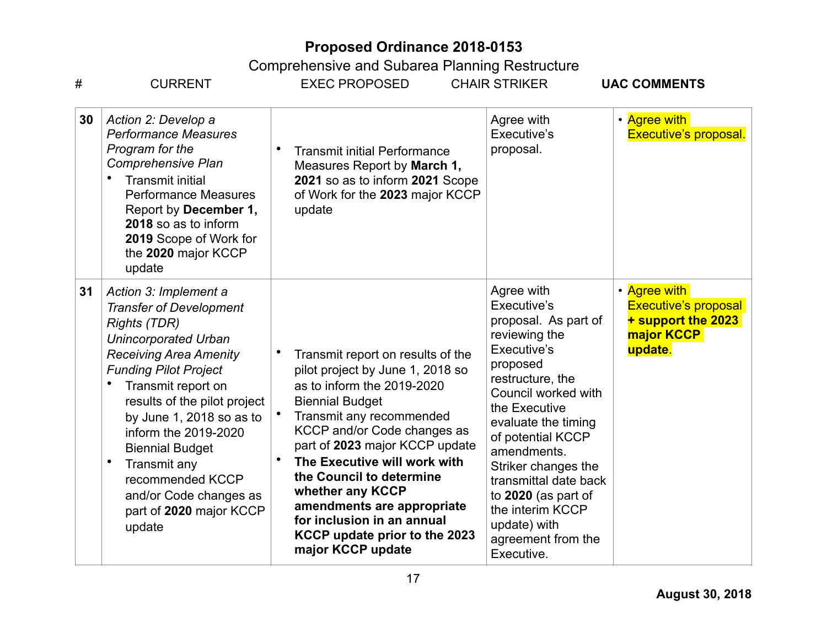| #  | <b>CURRENT</b>                                                                                                                                                                                                                                                                                                                                                                                                                     | <b>EXEC PROPOSED</b>                                                                                                                                                                                                                                                                                                                                                                                                         | <b>CHAIR STRIKER</b>                                                                                                                                                                                                                                                                                                                                                | <b>UAC COMMENTS</b>                                                                        |
|----|------------------------------------------------------------------------------------------------------------------------------------------------------------------------------------------------------------------------------------------------------------------------------------------------------------------------------------------------------------------------------------------------------------------------------------|------------------------------------------------------------------------------------------------------------------------------------------------------------------------------------------------------------------------------------------------------------------------------------------------------------------------------------------------------------------------------------------------------------------------------|---------------------------------------------------------------------------------------------------------------------------------------------------------------------------------------------------------------------------------------------------------------------------------------------------------------------------------------------------------------------|--------------------------------------------------------------------------------------------|
| 30 | Action 2: Develop a<br><b>Performance Measures</b><br>Program for the<br><b>Comprehensive Plan</b><br><b>Transmit initial</b><br><b>Performance Measures</b><br>Report by December 1,<br>2018 so as to inform<br>2019 Scope of Work for<br>the 2020 major KCCP<br>update                                                                                                                                                           | <b>Transmit initial Performance</b><br>Measures Report by March 1,<br>2021 so as to inform 2021 Scope<br>of Work for the 2023 major KCCP<br>update                                                                                                                                                                                                                                                                           | Agree with<br>Executive's<br>proposal.                                                                                                                                                                                                                                                                                                                              | • Agree with<br><b>Executive's proposal.</b>                                               |
| 31 | Action 3: Implement a<br><b>Transfer of Development</b><br><b>Rights (TDR)</b><br><b>Unincorporated Urban</b><br><b>Receiving Area Amenity</b><br><b>Funding Pilot Project</b><br>Transmit report on<br>results of the pilot project<br>by June 1, 2018 so as to<br>inform the 2019-2020<br><b>Biennial Budget</b><br>$\bullet$<br>Transmit any<br>recommended KCCP<br>and/or Code changes as<br>part of 2020 major KCCP<br>update | Transmit report on results of the<br>pilot project by June 1, 2018 so<br>as to inform the 2019-2020<br><b>Biennial Budget</b><br>Transmit any recommended<br>KCCP and/or Code changes as<br>part of 2023 major KCCP update<br>The Executive will work with<br>the Council to determine<br>whether any KCCP<br>amendments are appropriate<br>for inclusion in an annual<br>KCCP update prior to the 2023<br>major KCCP update | Agree with<br>Executive's<br>proposal. As part of<br>reviewing the<br>Executive's<br>proposed<br>restructure, the<br>Council worked with<br>the Executive<br>evaluate the timing<br>of potential KCCP<br>amendments.<br>Striker changes the<br>transmittal date back<br>to 2020 (as part of<br>the interim KCCP<br>update) with<br>agreement from the<br>Executive. | • Agree with<br><b>Executive's proposal</b><br>+ support the 2023<br>major KCCP<br>update. |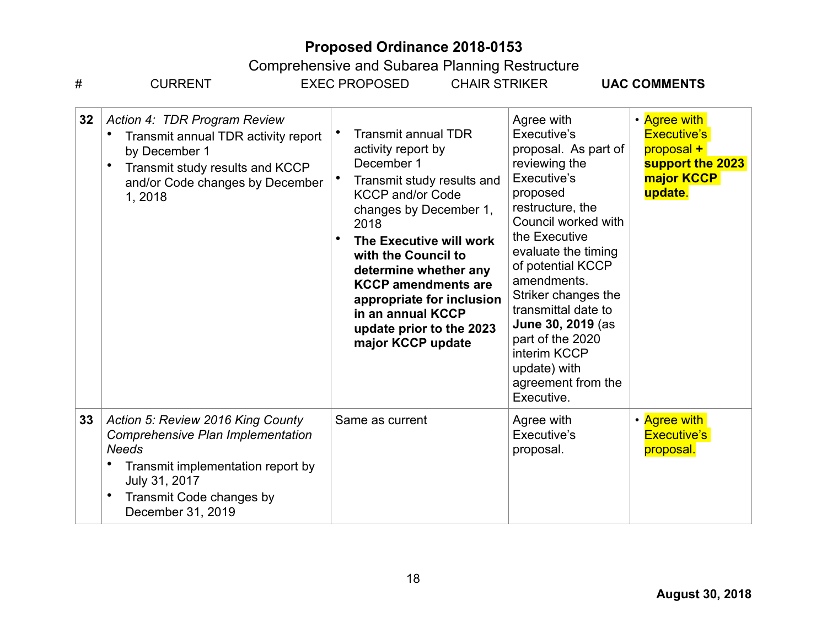| #  | <b>CURRENT</b>                                                                                                                                                                                | <b>EXEC PROPOSED</b>                                                                                                                                                                                                                                                                                                                                                  | <b>CHAIR STRIKER</b>                                                                                                                                                                                                                                                                                                                                                            | <b>UAC COMMENTS</b>                                                                           |
|----|-----------------------------------------------------------------------------------------------------------------------------------------------------------------------------------------------|-----------------------------------------------------------------------------------------------------------------------------------------------------------------------------------------------------------------------------------------------------------------------------------------------------------------------------------------------------------------------|---------------------------------------------------------------------------------------------------------------------------------------------------------------------------------------------------------------------------------------------------------------------------------------------------------------------------------------------------------------------------------|-----------------------------------------------------------------------------------------------|
| 32 | Action 4: TDR Program Review<br>Transmit annual TDR activity report<br>by December 1<br>Transmit study results and KCCP<br>$\bullet$<br>and/or Code changes by December<br>1,2018             | <b>Transmit annual TDR</b><br>activity report by<br>December 1<br>Transmit study results and<br><b>KCCP and/or Code</b><br>changes by December 1,<br>2018<br>The Executive will work<br>with the Council to<br>determine whether any<br><b>KCCP</b> amendments are<br>appropriate for inclusion<br>in an annual KCCP<br>update prior to the 2023<br>major KCCP update | Agree with<br>Executive's<br>proposal. As part of<br>reviewing the<br>Executive's<br>proposed<br>restructure, the<br>Council worked with<br>the Executive<br>evaluate the timing<br>of potential KCCP<br>amendments.<br>Striker changes the<br>transmittal date to<br>June 30, 2019 (as<br>part of the 2020<br>interim KCCP<br>update) with<br>agreement from the<br>Executive. | • Agree with<br><b>Executive's</b><br>proposal +<br>support the 2023<br>major KCCP<br>update. |
| 33 | Action 5: Review 2016 King County<br>Comprehensive Plan Implementation<br><b>Needs</b><br>Transmit implementation report by<br>July 31, 2017<br>Transmit Code changes by<br>December 31, 2019 | Same as current                                                                                                                                                                                                                                                                                                                                                       | Agree with<br>Executive's<br>proposal.                                                                                                                                                                                                                                                                                                                                          | • Agree with<br><b>Executive's</b><br>proposal.                                               |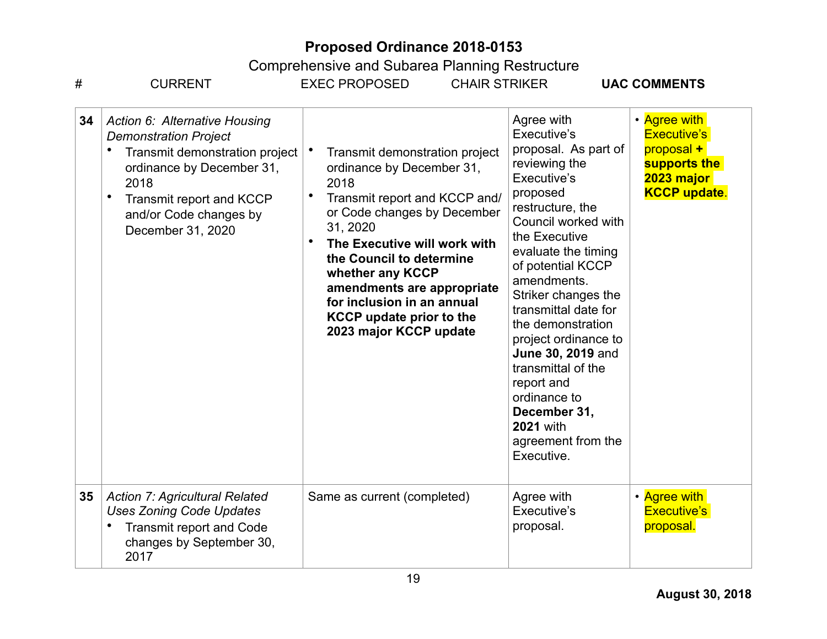| #               | <b>CURRENT</b>                                                                                                                                                                                                       | <b>CHAIR STRIKER</b><br><b>EXEC PROPOSED</b>                                                                                                                                                                                                                                                                                                                                                    |                                                                                                                                                                                                                                                                                                                                                                                                                                                                   | <b>UAC COMMENTS</b>                                                                                   |
|-----------------|----------------------------------------------------------------------------------------------------------------------------------------------------------------------------------------------------------------------|-------------------------------------------------------------------------------------------------------------------------------------------------------------------------------------------------------------------------------------------------------------------------------------------------------------------------------------------------------------------------------------------------|-------------------------------------------------------------------------------------------------------------------------------------------------------------------------------------------------------------------------------------------------------------------------------------------------------------------------------------------------------------------------------------------------------------------------------------------------------------------|-------------------------------------------------------------------------------------------------------|
| 34              | Action 6: Alternative Housing<br><b>Demonstration Project</b><br>Transmit demonstration project<br>ordinance by December 31,<br>2018<br>Transmit report and KCCP<br>٠<br>and/or Code changes by<br>December 31, 2020 | Transmit demonstration project<br>$\bullet$<br>ordinance by December 31,<br>2018<br>Transmit report and KCCP and/<br>$\bullet$<br>or Code changes by December<br>31, 2020<br>$\bullet$<br>The Executive will work with<br>the Council to determine<br>whether any KCCP<br>amendments are appropriate<br>for inclusion in an annual<br><b>KCCP</b> update prior to the<br>2023 major KCCP update | Agree with<br>Executive's<br>proposal. As part of<br>reviewing the<br>Executive's<br>proposed<br>restructure, the<br>Council worked with<br>the Executive<br>evaluate the timing<br>of potential KCCP<br>amendments.<br>Striker changes the<br>transmittal date for<br>the demonstration<br>project ordinance to<br>June 30, 2019 and<br>transmittal of the<br>report and<br>ordinance to<br>December 31,<br><b>2021</b> with<br>agreement from the<br>Executive. | • Agree with<br><b>Executive's</b><br>proposal +<br>supports the<br>2023 major<br><b>KCCP update.</b> |
| 35 <sub>5</sub> | <b>Action 7: Agricultural Related</b><br><b>Uses Zoning Code Updates</b><br>Transmit report and Code<br>changes by September 30,<br>2017                                                                             | Same as current (completed)                                                                                                                                                                                                                                                                                                                                                                     | Agree with<br>Executive's<br>proposal.                                                                                                                                                                                                                                                                                                                                                                                                                            | • Agree with<br><b>Executive's</b><br>proposal.                                                       |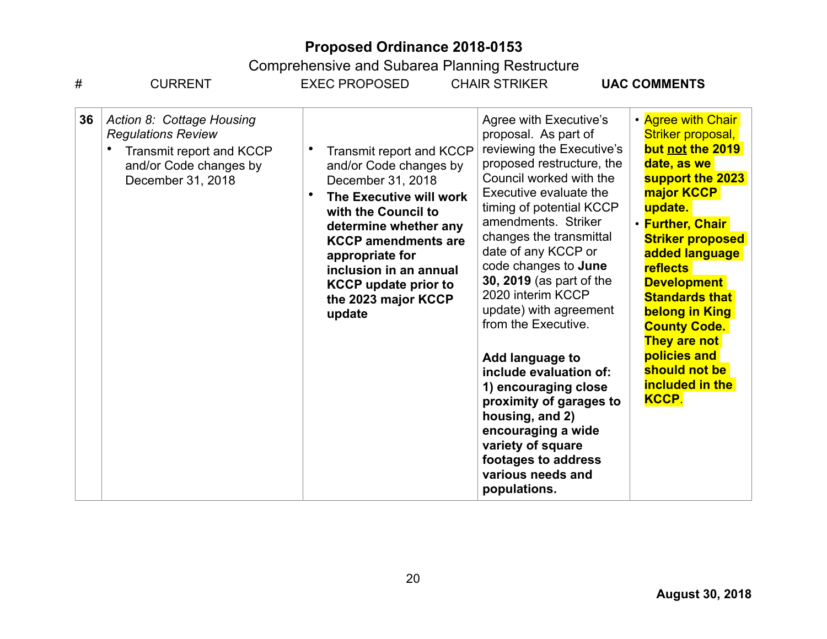| #  | <b>CURRENT</b>                                                                                                                    | <b>EXEC PROPOSED</b>                                                                                                                                                                                                                                                                          | <b>CHAIR STRIKER</b>                                                                                                                                                                                                                                                                                                                                                                                                                                                                                                                                                                                                   | <b>UAC COMMENTS</b>                                                                                                                                                                                                                                                                                                                                                                                   |
|----|-----------------------------------------------------------------------------------------------------------------------------------|-----------------------------------------------------------------------------------------------------------------------------------------------------------------------------------------------------------------------------------------------------------------------------------------------|------------------------------------------------------------------------------------------------------------------------------------------------------------------------------------------------------------------------------------------------------------------------------------------------------------------------------------------------------------------------------------------------------------------------------------------------------------------------------------------------------------------------------------------------------------------------------------------------------------------------|-------------------------------------------------------------------------------------------------------------------------------------------------------------------------------------------------------------------------------------------------------------------------------------------------------------------------------------------------------------------------------------------------------|
| 36 | Action 8: Cottage Housing<br><b>Regulations Review</b><br>Transmit report and KCCP<br>and/or Code changes by<br>December 31, 2018 | Transmit report and KCCP<br>and/or Code changes by<br>December 31, 2018<br>The Executive will work<br>with the Council to<br>determine whether any<br><b>KCCP</b> amendments are<br>appropriate for<br>inclusion in an annual<br><b>KCCP</b> update prior to<br>the 2023 major KCCP<br>update | Agree with Executive's<br>proposal. As part of<br>reviewing the Executive's<br>proposed restructure, the<br>Council worked with the<br>Executive evaluate the<br>timing of potential KCCP<br>amendments. Striker<br>changes the transmittal<br>date of any KCCP or<br>code changes to June<br>30, 2019 (as part of the<br>2020 interim KCCP<br>update) with agreement<br>from the Executive.<br>Add language to<br>include evaluation of:<br>1) encouraging close<br>proximity of garages to<br>housing, and 2)<br>encouraging a wide<br>variety of square<br>footages to address<br>various needs and<br>populations. | • Agree with Chair<br>Striker proposal,<br>but not the 2019<br>date, as we<br>support the 2023<br>major <b>KCCP</b><br>update.<br><b>• Further, Chair</b><br><b>Striker proposed</b><br>added language<br><b>reflects</b><br><b>Development</b><br><b>Standards that</b><br><b>belong in King</b><br><b>County Code.</b><br>They are not<br>policies and<br>should not be<br>included in the<br>KCCP. |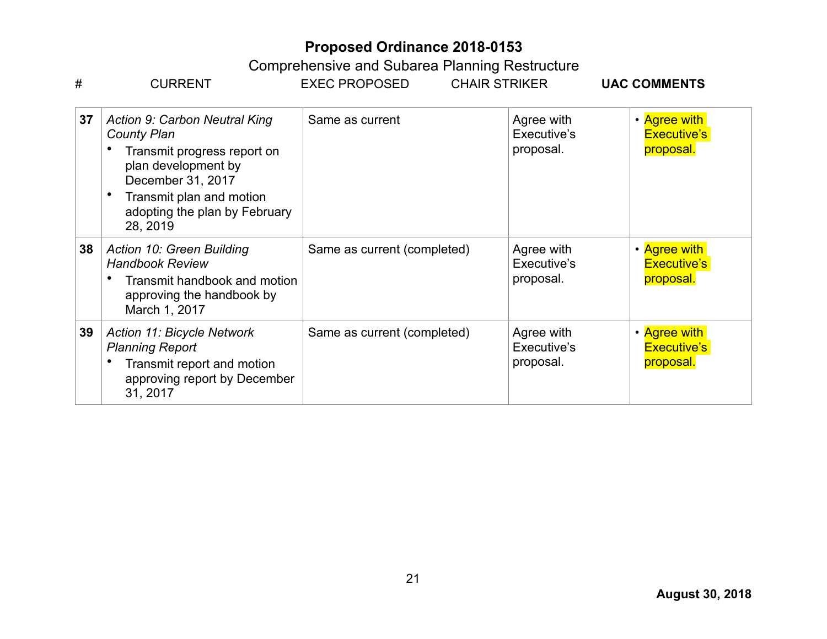|    | Comprenensive and Subarea Planning Restructure                                                                                                                                                                 |                                              |                                        |                                                 |
|----|----------------------------------------------------------------------------------------------------------------------------------------------------------------------------------------------------------------|----------------------------------------------|----------------------------------------|-------------------------------------------------|
| #  | <b>CURRENT</b>                                                                                                                                                                                                 | <b>EXEC PROPOSED</b><br><b>CHAIR STRIKER</b> |                                        | <b>UAC COMMENTS</b>                             |
| 37 | <b>Action 9: Carbon Neutral King</b><br><b>County Plan</b><br>Transmit progress report on<br>plan development by<br>December 31, 2017<br>Transmit plan and motion<br>adopting the plan by February<br>28, 2019 | Same as current                              | Agree with<br>Executive's<br>proposal. | • Agree with<br><b>Executive's</b><br>proposal. |
| 38 | Action 10: Green Building<br><b>Handbook Review</b><br>Transmit handbook and motion<br>approving the handbook by<br>March 1, 2017                                                                              | Same as current (completed)                  | Agree with<br>Executive's<br>proposal. | • Agree with<br><b>Executive's</b><br>proposal. |
| 39 | <b>Action 11: Bicycle Network</b><br><b>Planning Report</b><br>Transmit report and motion<br>approving report by December<br>31, 2017                                                                          | Same as current (completed)                  | Agree with<br>Executive's<br>proposal. | • Agree with<br><b>Executive's</b><br>proposal. |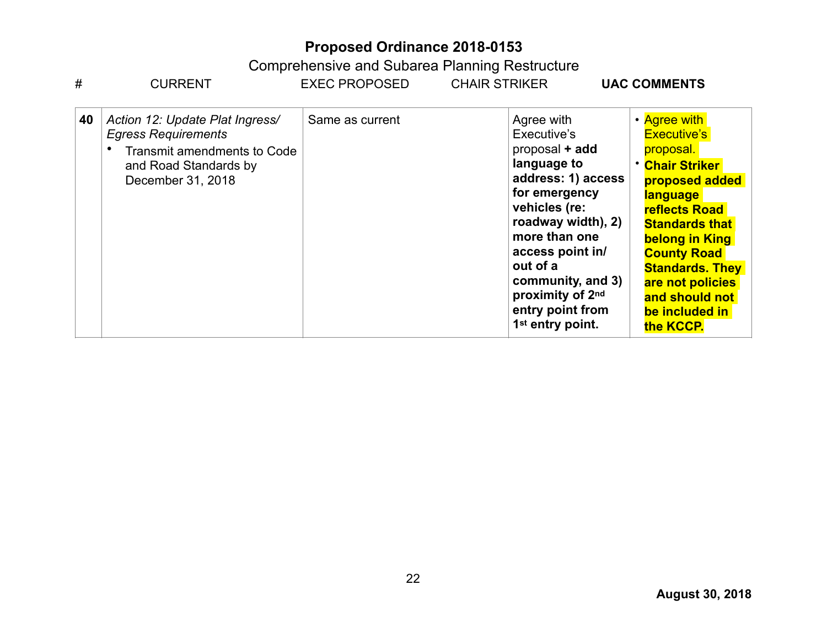| #  | <b>CURRENT</b>                                                                                                                                    | <b>EXEC PROPOSED</b> | <b>CHAIR STRIKER</b>                                                                                                                                                                                                                                                                   | <b>UAC COMMENTS</b>                                                                                                                                                                                                                                                                                    |
|----|---------------------------------------------------------------------------------------------------------------------------------------------------|----------------------|----------------------------------------------------------------------------------------------------------------------------------------------------------------------------------------------------------------------------------------------------------------------------------------|--------------------------------------------------------------------------------------------------------------------------------------------------------------------------------------------------------------------------------------------------------------------------------------------------------|
| 40 | Action 12: Update Plat Ingress/<br><b>Egress Requirements</b><br><b>Transmit amendments to Code</b><br>and Road Standards by<br>December 31, 2018 | Same as current      | Agree with<br>Executive's<br>proposal + add<br>language to<br>address: 1) access<br>for emergency<br>vehicles (re:<br>roadway width), 2)<br>more than one<br>access point in/<br>out of a<br>community, and 3)<br>proximity of 2nd<br>entry point from<br>1 <sup>st</sup> entry point. | • Agree with<br><b>Executive's</b><br>proposal.<br><b>* Chair Striker</b><br>proposed added<br><b>language</b><br><b>reflects Road</b><br><b>Standards that</b><br>belong in King<br><b>County Road</b><br><b>Standards. They</b><br>are not policies<br>and should not<br>be included in<br>the KCCP. |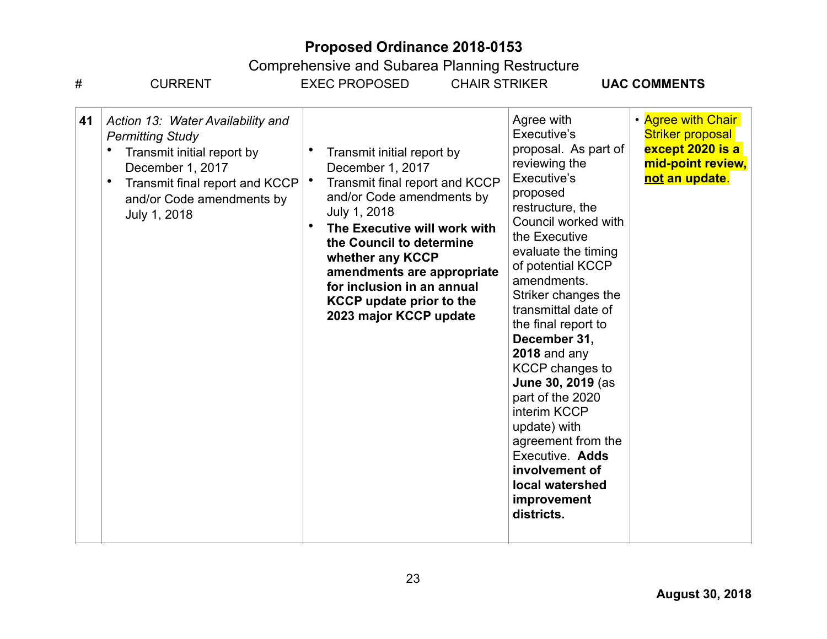| #  | <b>CURRENT</b>                                                                                                                                                                                             | <b>EXEC PROPOSED</b>                                                                                                                                                                                                                                                                                                                                             | <b>CHAIR STRIKER</b>                                                                                                                                                                                                                                                                                                                                                                                                                                                                                                                      | <b>UAC COMMENTS</b>                                                                                      |
|----|------------------------------------------------------------------------------------------------------------------------------------------------------------------------------------------------------------|------------------------------------------------------------------------------------------------------------------------------------------------------------------------------------------------------------------------------------------------------------------------------------------------------------------------------------------------------------------|-------------------------------------------------------------------------------------------------------------------------------------------------------------------------------------------------------------------------------------------------------------------------------------------------------------------------------------------------------------------------------------------------------------------------------------------------------------------------------------------------------------------------------------------|----------------------------------------------------------------------------------------------------------|
| 41 | Action 13: Water Availability and<br><b>Permitting Study</b><br>Transmit initial report by<br>December 1, 2017<br>$\bullet$<br>Transmit final report and KCCP<br>and/or Code amendments by<br>July 1, 2018 | Transmit initial report by<br>December 1, 2017<br>$\bullet$<br>Transmit final report and KCCP<br>and/or Code amendments by<br>July 1, 2018<br>$\bullet$<br>The Executive will work with<br>the Council to determine<br>whether any KCCP<br>amendments are appropriate<br>for inclusion in an annual<br><b>KCCP update prior to the</b><br>2023 major KCCP update | Agree with<br>Executive's<br>proposal. As part of<br>reviewing the<br>Executive's<br>proposed<br>restructure, the<br>Council worked with<br>the Executive<br>evaluate the timing<br>of potential KCCP<br>amendments.<br>Striker changes the<br>transmittal date of<br>the final report to<br>December 31,<br>$2018$ and any<br><b>KCCP</b> changes to<br>June 30, 2019 (as<br>part of the 2020<br>interim KCCP<br>update) with<br>agreement from the<br>Executive. Adds<br>involvement of<br>local watershed<br>improvement<br>districts. | • Agree with Chair<br><b>Striker proposal</b><br>except 2020 is a<br>mid-point review,<br>not an update. |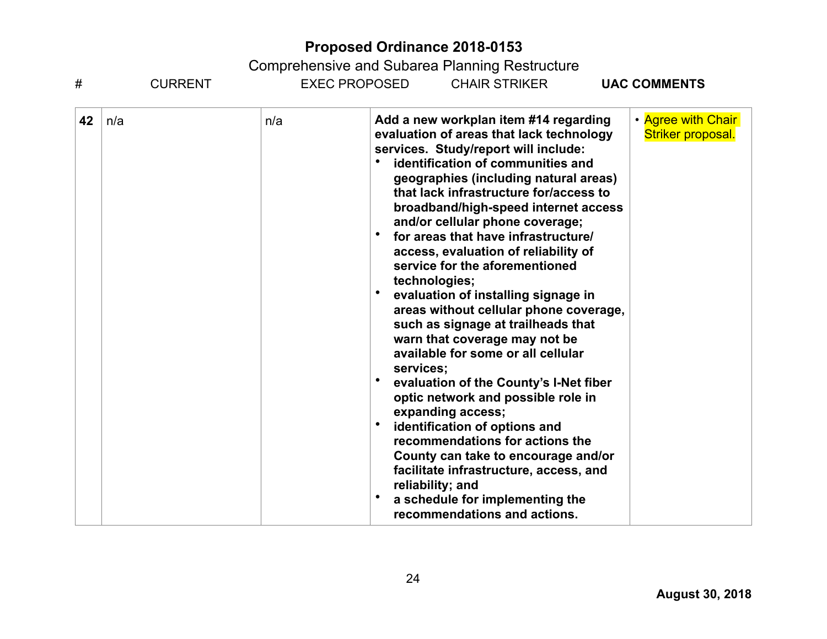| #  | <b>CURRENT</b> |     | EXEC PROPOSED<br><b>CHAIR STRIKER</b><br><b>UAC COMMENTS</b>                                                                                                                                                                                                                                                                                                                                                                                                                                                                                                                                                                                                                                                                                                                                                                                                                                                                                                                                                                                                                       |
|----|----------------|-----|------------------------------------------------------------------------------------------------------------------------------------------------------------------------------------------------------------------------------------------------------------------------------------------------------------------------------------------------------------------------------------------------------------------------------------------------------------------------------------------------------------------------------------------------------------------------------------------------------------------------------------------------------------------------------------------------------------------------------------------------------------------------------------------------------------------------------------------------------------------------------------------------------------------------------------------------------------------------------------------------------------------------------------------------------------------------------------|
| 42 | n/a            | n/a | • Agree with Chair<br>Add a new workplan item #14 regarding<br>evaluation of areas that lack technology<br>Striker proposal.<br>services. Study/report will include:<br>identification of communities and<br>geographies (including natural areas)<br>that lack infrastructure for/access to<br>broadband/high-speed internet access<br>and/or cellular phone coverage;<br>for areas that have infrastructure/<br>access, evaluation of reliability of<br>service for the aforementioned<br>technologies;<br>$\bullet$<br>evaluation of installing signage in<br>areas without cellular phone coverage,<br>such as signage at trailheads that<br>warn that coverage may not be<br>available for some or all cellular<br>services;<br>evaluation of the County's I-Net fiber<br>optic network and possible role in<br>expanding access;<br>identification of options and<br>recommendations for actions the<br>County can take to encourage and/or<br>facilitate infrastructure, access, and<br>reliability; and<br>a schedule for implementing the<br>recommendations and actions. |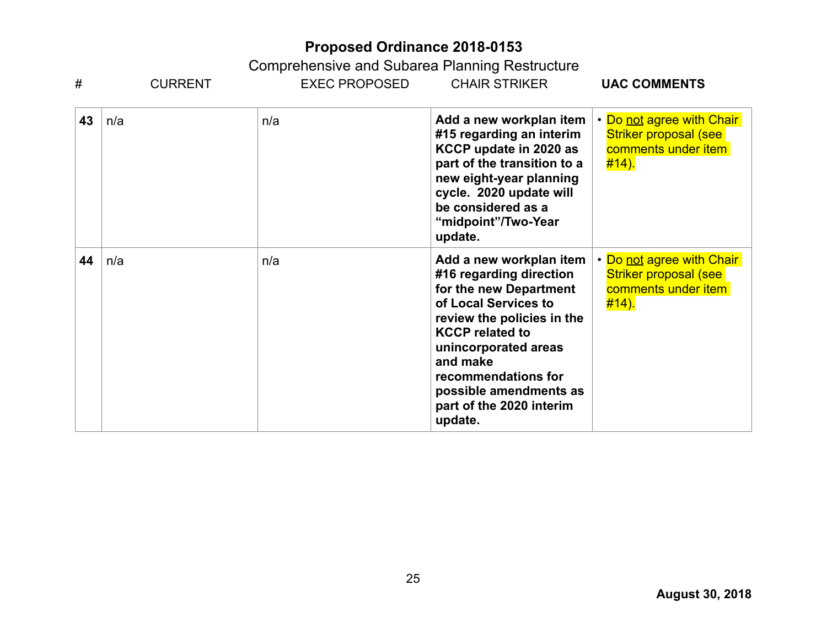| #  | <b>CURRENT</b> | <b>EXEC PROPOSED</b> | <b>CHAIR STRIKER</b>                                                                                                                                                                                                                                                                     | <b>UAC COMMENTS</b>                                                                              |
|----|----------------|----------------------|------------------------------------------------------------------------------------------------------------------------------------------------------------------------------------------------------------------------------------------------------------------------------------------|--------------------------------------------------------------------------------------------------|
| 43 | n/a            | n/a                  | Add a new workplan item<br>#15 regarding an interim<br>KCCP update in 2020 as<br>part of the transition to a<br>new eight-year planning<br>cycle. 2020 update will<br>be considered as a<br>"midpoint"/Two-Year<br>update.                                                               | • Do not agree with Chair<br><b>Striker proposal (see</b><br>comments under item<br><u>#14).</u> |
| 44 | n/a            | n/a                  | Add a new workplan item<br>#16 regarding direction<br>for the new Department<br>of Local Services to<br>review the policies in the<br><b>KCCP</b> related to<br>unincorporated areas<br>and make<br>recommendations for<br>possible amendments as<br>part of the 2020 interim<br>update. | • Do not agree with Chair<br><b>Striker proposal (see</b><br>comments under item<br>#14).        |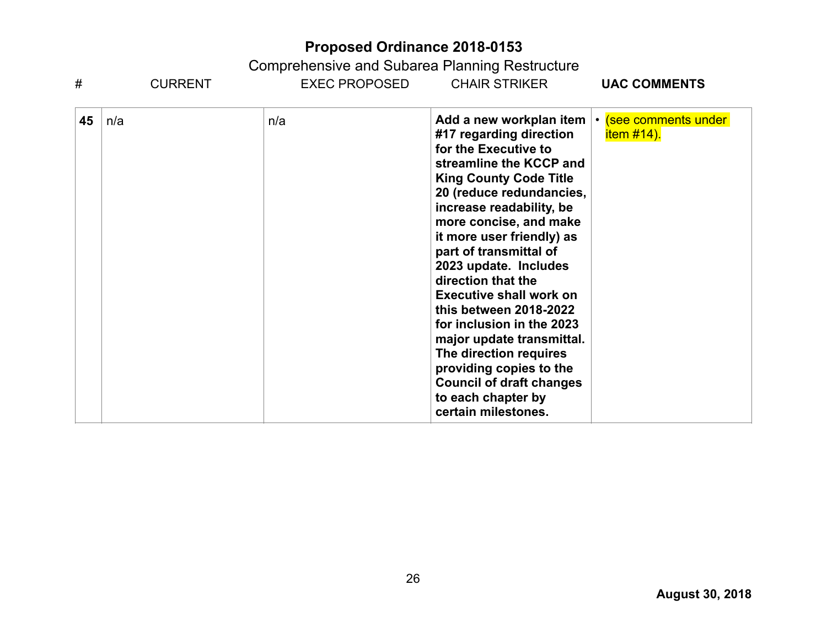| #  | <b>CURRENT</b> | EXEC PROPOSED | <b>CHAIR STRIKER</b>                                                                                                                                                                                                                                                                                                                                                                                                                                                                                                                                                                      | <b>UAC COMMENTS</b>                        |
|----|----------------|---------------|-------------------------------------------------------------------------------------------------------------------------------------------------------------------------------------------------------------------------------------------------------------------------------------------------------------------------------------------------------------------------------------------------------------------------------------------------------------------------------------------------------------------------------------------------------------------------------------------|--------------------------------------------|
| 45 | n/a            | n/a           | Add a new workplan item<br>#17 regarding direction<br>for the Executive to<br>streamline the KCCP and<br><b>King County Code Title</b><br>20 (reduce redundancies,<br>increase readability, be<br>more concise, and make<br>it more user friendly) as<br>part of transmittal of<br>2023 update. Includes<br>direction that the<br><b>Executive shall work on</b><br>this between 2018-2022<br>for inclusion in the 2023<br>major update transmittal.<br>The direction requires<br>providing copies to the<br><b>Council of draft changes</b><br>to each chapter by<br>certain milestones. | • (see comments under<br><u>item #14).</u> |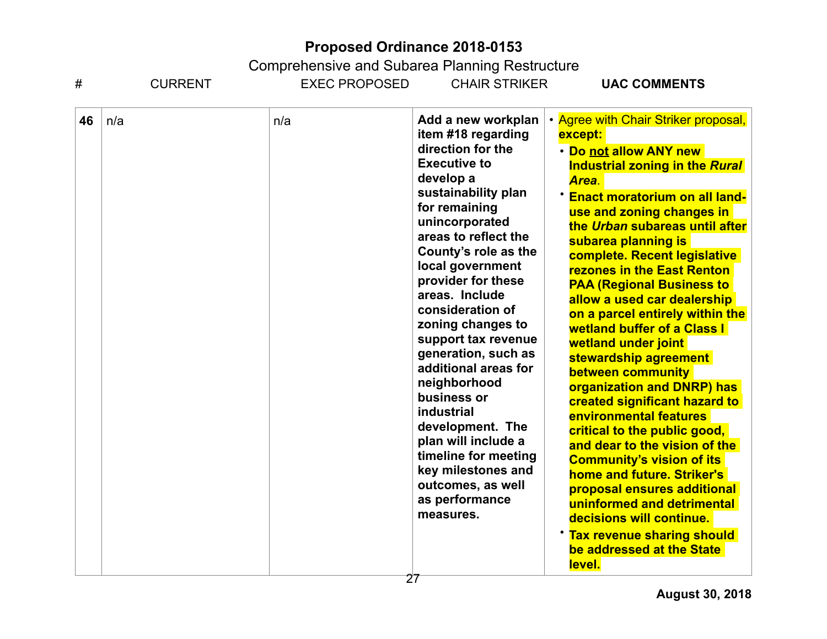| #  | <b>CURRENT</b> | <b>EXEC PROPOSED</b> | <b>CHAIR STRIKER</b>                                                                                                                                                                                                                                                                                                                                                                                                                                                                                                                                                                    | <b>UAC COMMENTS</b>                                                                                                                                                                                                                                                                                                                                                                                                                                                                                                                                                                                                                                                                                                                                                                                                                                                                                                                                     |
|----|----------------|----------------------|-----------------------------------------------------------------------------------------------------------------------------------------------------------------------------------------------------------------------------------------------------------------------------------------------------------------------------------------------------------------------------------------------------------------------------------------------------------------------------------------------------------------------------------------------------------------------------------------|---------------------------------------------------------------------------------------------------------------------------------------------------------------------------------------------------------------------------------------------------------------------------------------------------------------------------------------------------------------------------------------------------------------------------------------------------------------------------------------------------------------------------------------------------------------------------------------------------------------------------------------------------------------------------------------------------------------------------------------------------------------------------------------------------------------------------------------------------------------------------------------------------------------------------------------------------------|
| 46 | n/a            | n/a                  | Add a new workplan<br>item #18 regarding<br>direction for the<br><b>Executive to</b><br>develop a<br>sustainability plan<br>for remaining<br>unincorporated<br>areas to reflect the<br>County's role as the<br>local government<br>provider for these<br>areas. Include<br>consideration of<br>zoning changes to<br>support tax revenue<br>generation, such as<br>additional areas for<br>neighborhood<br>business or<br><b>industrial</b><br>development. The<br>plan will include a<br>timeline for meeting<br>key milestones and<br>outcomes, as well<br>as performance<br>measures. | • Agree with Chair Striker proposal,<br>except:<br>· Do not allow ANY new<br><b>Industrial zoning in the Rural</b><br>Area.<br><b>Enact moratorium on all land-</b><br>use and zoning changes in<br>the Urban subareas until after<br>subarea planning is<br>complete. Recent legislative<br><b>rezones in the East Renton</b><br><b>PAA (Regional Business to</b><br>allow a used car dealership<br>on a parcel entirely within the<br><b>wetland buffer of a Class I</b><br>wetland under joint<br>stewardship agreement<br>between community<br>organization and DNRP) has<br>created significant hazard to<br><b>environmental features</b><br>critical to the public good,<br>and dear to the vision of the<br><b>Community's vision of its</b><br>home and future. Striker's<br>proposal ensures additional<br>uninformed and detrimental<br>decisions will continue.<br><b>Tax revenue sharing should</b><br>be addressed at the State<br>level. |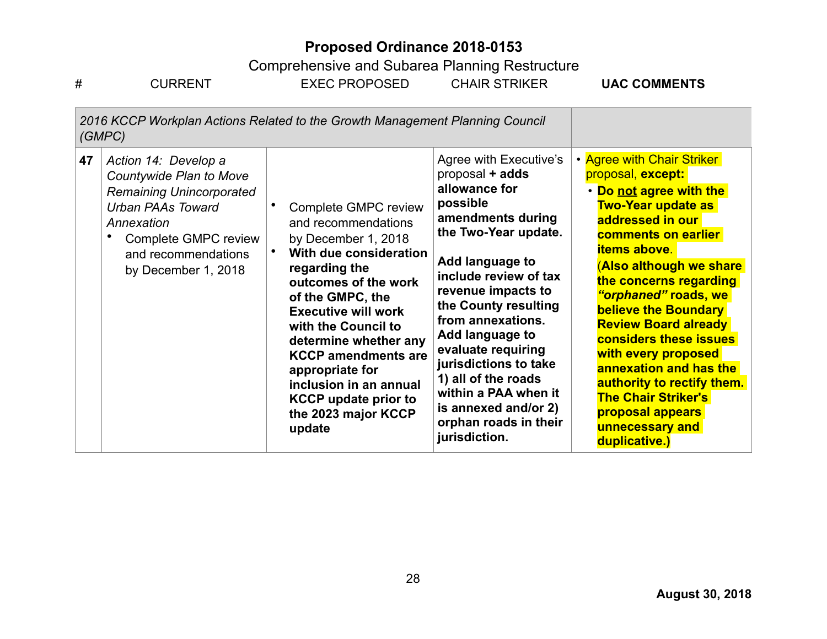Comprehensive and Subarea Planning Restructure<br>EXEC PROPOSED CHAIR STRIKER

| #  | <b>CURRENT</b>                                                                                                                                                                                     | <b>EXEC PROPOSED</b>                                                                                                                                                                                                                                                                                                                                                                            | <b>CHAIR STRIKER</b>                                                                                                                                                                                                                                                                                                                                                                                                  | <b>UAC COMMENTS</b>                                                                                                                                                                                                                                                                                                                                                                                                                                                                                                 |
|----|----------------------------------------------------------------------------------------------------------------------------------------------------------------------------------------------------|-------------------------------------------------------------------------------------------------------------------------------------------------------------------------------------------------------------------------------------------------------------------------------------------------------------------------------------------------------------------------------------------------|-----------------------------------------------------------------------------------------------------------------------------------------------------------------------------------------------------------------------------------------------------------------------------------------------------------------------------------------------------------------------------------------------------------------------|---------------------------------------------------------------------------------------------------------------------------------------------------------------------------------------------------------------------------------------------------------------------------------------------------------------------------------------------------------------------------------------------------------------------------------------------------------------------------------------------------------------------|
|    | 2016 KCCP Workplan Actions Related to the Growth Management Planning Council<br>(GMPC)                                                                                                             |                                                                                                                                                                                                                                                                                                                                                                                                 |                                                                                                                                                                                                                                                                                                                                                                                                                       |                                                                                                                                                                                                                                                                                                                                                                                                                                                                                                                     |
| 47 | Action 14: Develop a<br>Countywide Plan to Move<br><b>Remaining Unincorporated</b><br><b>Urban PAAs Toward</b><br>Annexation<br>Complete GMPC review<br>and recommendations<br>by December 1, 2018 | Complete GMPC review<br>and recommendations<br>by December 1, 2018<br>With due consideration<br>$\bullet$<br>regarding the<br>outcomes of the work<br>of the GMPC, the<br><b>Executive will work</b><br>with the Council to<br>determine whether any<br><b>KCCP</b> amendments are<br>appropriate for<br>inclusion in an annual<br><b>KCCP</b> update prior to<br>the 2023 major KCCP<br>update | Agree with Executive's<br>proposal + adds<br>allowance for<br>possible<br>amendments during<br>the Two-Year update.<br>Add language to<br>include review of tax<br>revenue impacts to<br>the County resulting<br>from annexations.<br>Add language to<br>evaluate requiring<br>jurisdictions to take<br>1) all of the roads<br>within a PAA when it<br>is annexed and/or 2)<br>orphan roads in their<br>jurisdiction. | • Agree with Chair Striker<br>proposal, except:<br>• Do not agree with the<br><b>Two-Year update as</b><br>addressed in our<br><b>comments on earlier</b><br><b>items above.</b><br>(Also although we share<br>the concerns regarding<br>"orphaned" roads, we<br>believe the Boundary<br><b>Review Board already</b><br>considers these issues<br>with every proposed<br>annexation and has the<br>authority to rectify them.<br><b>The Chair Striker's</b><br>proposal appears<br>unnecessary and<br>duplicative.) |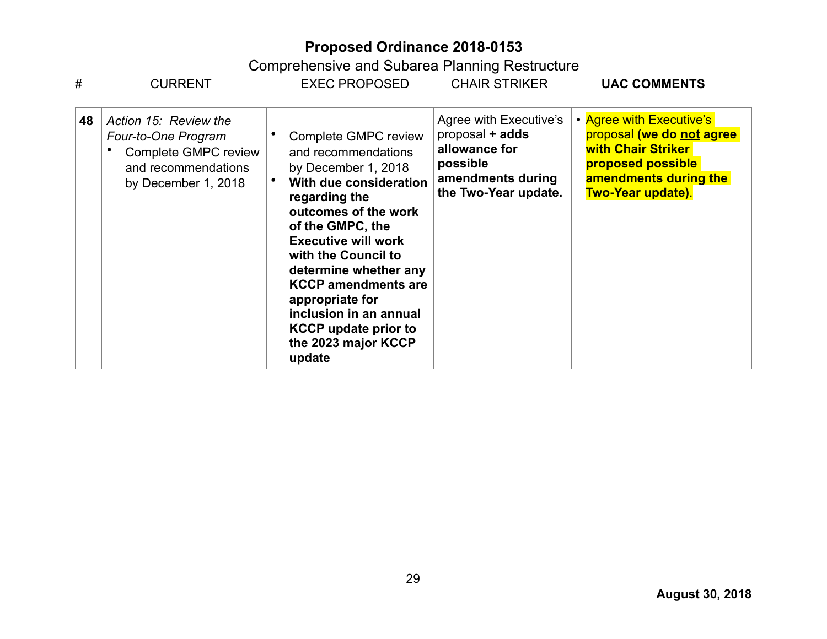| #  | <b>CURRENT</b>                                                                                                            | <b>EXEC PROPOSED</b>                                                                                                                                                                                                                                                                                                                                                                      | <b>CHAIR STRIKER</b>                                                                                                | <b>UAC COMMENTS</b>                                                                                                                                   |
|----|---------------------------------------------------------------------------------------------------------------------------|-------------------------------------------------------------------------------------------------------------------------------------------------------------------------------------------------------------------------------------------------------------------------------------------------------------------------------------------------------------------------------------------|---------------------------------------------------------------------------------------------------------------------|-------------------------------------------------------------------------------------------------------------------------------------------------------|
| 48 | Action 15: Review the<br>Four-to-One Program<br><b>Complete GMPC review</b><br>and recommendations<br>by December 1, 2018 | <b>Complete GMPC review</b><br>and recommendations<br>by December 1, 2018<br>With due consideration<br>regarding the<br>outcomes of the work<br>of the GMPC, the<br><b>Executive will work</b><br>with the Council to<br>determine whether any<br><b>KCCP amendments are</b><br>appropriate for<br>inclusion in an annual<br><b>KCCP</b> update prior to<br>the 2023 major KCCP<br>update | Agree with Executive's<br>proposal + adds<br>allowance for<br>possible<br>amendments during<br>the Two-Year update. | • Agree with Executive's<br>proposal (we do not agree<br><b>with Chair Striker</b><br>proposed possible<br>amendments during the<br>Two-Year update). |